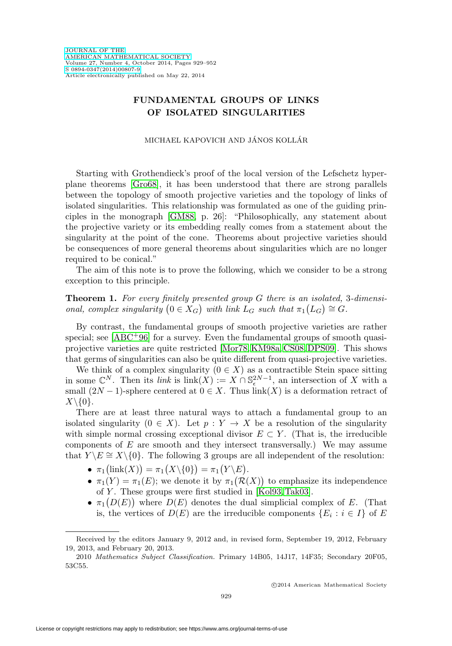## **FUNDAMENTAL GROUPS OF LINKS OF ISOLATED SINGULARITIES**

MICHAEL KAPOVICH AND JÁNOS KOLLÁR

Starting with Grothendieck's proof of the local version of the Lefschetz hyperplane theorems [\[Gro68\]](#page-22-0), it has been understood that there are strong parallels between the topology of smooth projective varieties and the topology of links of isolated singularities. This relationship was formulated as one of the guiding principles in the monograph [\[GM88,](#page-22-1) p. 26]: "Philosophically, any statement about the projective variety or its embedding really comes from a statement about the singularity at the point of the cone. Theorems about projective varieties should be consequences of more general theorems about singularities which are no longer required to be conical."

The aim of this note is to prove the following, which we consider to be a strong exception to this principle.

<span id="page-0-0"></span>**Theorem 1.** For every finitely presented group G there is an isolated, 3-dimensional, complex singularity  $(0 \in X_G)$  with link  $L_G$  such that  $\pi_1(L_G) \cong G$ .

By contrast, the fundamental groups of smooth projective varieties are rather special; see  $[ABC^{+96}]$  $[ABC^{+96}]$  for a survey. Even the fundamental groups of smooth quasiprojective varieties are quite restricted [\[Mor78,](#page-23-0) [KM98a,](#page-22-2) [CS08,](#page-21-1) [DPS09\]](#page-22-3). This shows that germs of singularities can also be quite different from quasi-projective varieties.

We think of a complex singularity  $(0 \in X)$  as a contractible Stein space sitting in some  $\mathbb{C}^N$ . Then its *link* is link $(X) := X \cap \mathbb{S}_{\epsilon}^{2N-1}$ , an intersection of X with a small  $(2N-1)$ -sphere centered at  $0 \in X$ . Thus  $\text{link}(X)$  is a deformation retract of  $X\backslash\{0\}.$ 

There are at least three natural ways to attach a fundamental group to an isolated singularity  $(0 \in X)$ . Let  $p : Y \to X$  be a resolution of the singularity with simple normal crossing exceptional divisor  $E \subset Y$ . (That is, the irreducible components of  $E$  are smooth and they intersect transversally.) We may assume that  $Y \ E \cong X \setminus \{0\}$ . The following 3 groups are all independent of the resolution:

- $\bullet \ \pi_1 \bigl( \mathrm{link}(X) \bigr) = \pi_1 \bigl( X \backslash \{0\} \bigr) = \pi_1 \bigl( Y \backslash E \bigr).$
- $\pi_1(Y) = \pi_1(E)$ ; we denote it by  $\pi_1(\mathcal{R}(X))$  to emphasize its independence of Y . These groups were first studied in [\[Kol93,](#page-23-1) [Tak03\]](#page-23-2).
- $\pi_1(D(E))$  where  $D(E)$  denotes the dual simplicial complex of E. (That is, the vertices of  $D(E)$  are the irreducible components  $\{E_i : i \in I\}$  of E

Received by the editors January 9, 2012 and, in revised form, September 19, 2012, February 19, 2013, and February 20, 2013.

<sup>2010</sup> Mathematics Subject Classification. Primary 14B05, 14J17, 14F35; Secondary 20F05, 53C55.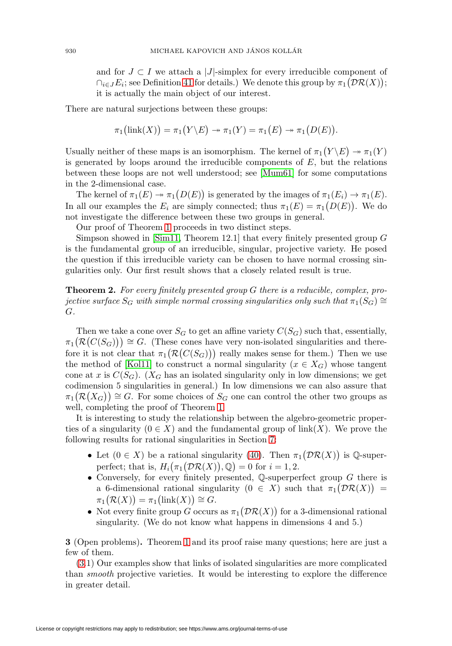and for  $J \subset I$  we attach a |J|-simplex for every irreducible component of  $\bigcap_{i\in J}E_i$ ; see Definition [41](#page-17-0) for details.) We denote this group by  $\pi_1(\mathcal{DR}(X));$ it is actually the main object of our interest.

There are natural surjections between these groups:

$$
\pi_1(\text{link}(X)) = \pi_1(Y \setminus E) \rightarrow \pi_1(Y) = \pi_1(E) \rightarrow \pi_1(D(E)).
$$

Usually neither of these maps is an isomorphism. The kernel of  $\pi_1(Y \backslash E) \to \pi_1(Y)$ is generated by loops around the irreducible components of  $E$ , but the relations between these loops are not well understood; see [\[Mum61\]](#page-23-3) for some computations in the 2-dimensional case.

The kernel of  $\pi_1(E) \to \pi_1(D(E))$  is generated by the images of  $\pi_1(E_i) \to \pi_1(E)$ . In all our examples the  $E_i$  are simply connected; thus  $\pi_1(E) = \pi_1(D(E))$ . We do not investigate the difference between these two groups in general.

Our proof of Theorem [1](#page-0-0) proceeds in two distinct steps.

Simpson showed in [\[Sim11,](#page-23-4) Theorem 12.1] that every finitely presented group  $G$ is the fundamental group of an irreducible, singular, projective variety. He posed the question if this irreducible variety can be chosen to have normal crossing singularities only. Our first result shows that a closely related result is true.

**Theorem 2.** For every finitely presented group G there is a reducible, complex, projective surface  $S_G$  with simple normal crossing singularities only such that  $\pi_1(S_G) \cong$ G.

Then we take a cone over  $S_G$  to get an affine variety  $C(S_G)$  such that, essentially,  $\pi_1(\mathcal{R}(C(S_G))) \cong G$ . (These cones have very non-isolated singularities and therefore it is not clear that  $\pi_1(\mathcal{R}(C(S_G)))$  really makes sense for them.) Then we use the method of [\[Kol11\]](#page-23-5) to construct a normal singularity ( $x \in X_G$ ) whose tangent cone at x is  $C(S_G)$ . ( $X_G$  has an isolated singularity only in low dimensions; we get codimension 5 singularities in general.) In low dimensions we can also assure that  $\pi_1(\mathcal{R}(X_G)) \cong G$ . For some choices of  $S_G$  one can control the other two groups as well, completing the proof of Theorem [1.](#page-0-0)

It is interesting to study the relationship between the algebro-geometric properties of a singularity  $(0 \in X)$  and the fundamental group of link $(X)$ . We prove the following results for rational singularities in Section [7:](#page-16-0)

- Let  $(0 \in X)$  be a rational singularity [\(40\)](#page-16-1). Then  $\pi_1(\mathcal{DR}(X))$  is Q-superperfect; that is,  $H_i(\pi_1(\mathcal{DR}(X)), \mathbb{Q}) = 0$  for  $i = 1, 2$ .
- Conversely, for every finitely presented,  $\mathbb Q$ -superperfect group  $G$  there is a 6-dimensional rational singularity  $(0 \in X)$  such that  $\pi_1(\mathcal{DR}(X)) =$  $\pi_1(\mathcal{R}(X)) = \pi_1(\text{link}(X)) \cong G.$
- Not every finite group G occurs as  $\pi_1(\mathcal{DR}(X))$  for a 3-dimensional rational singularity. (We do not know what happens in dimensions 4 and 5.)

<span id="page-1-0"></span>**3** (Open problems)**.** Theorem [1](#page-0-0) and its proof raise many questions; here are just a few of them.

[\(3.](#page-1-0)1) Our examples show that links of isolated singularities are more complicated than smooth projective varieties. It would be interesting to explore the difference in greater detail.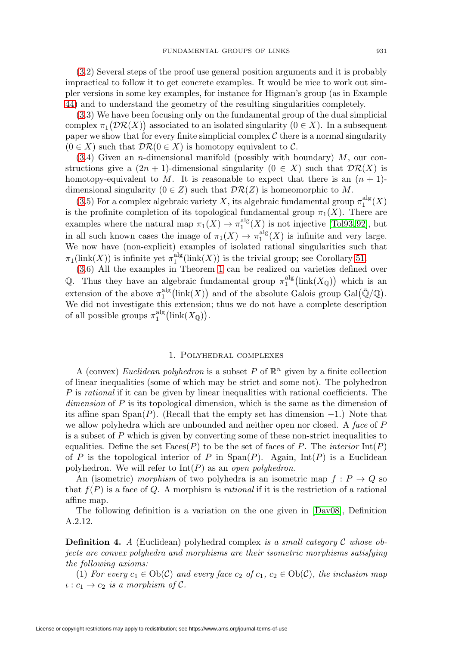[\(3.](#page-1-0)2) Several steps of the proof use general position arguments and it is probably impractical to follow it to get concrete examples. It would be nice to work out simpler versions in some key examples, for instance for Higman's group (as in Example [44\)](#page-18-0) and to understand the geometry of the resulting singularities completely.

[\(3.](#page-1-0)3) We have been focusing only on the fundamental group of the dual simplicial complex  $\pi_1(\mathcal{DR}(X))$  associated to an isolated singularity  $(0 \in X)$ . In a subsequent paper we show that for every finite simplicial complex  $\mathcal C$  there is a normal singularity  $(0 \in X)$  such that  $\mathcal{DR}(0 \in X)$  is homotopy equivalent to C.

 $(3.4)$  $(3.4)$  Given an *n*-dimensional manifold (possibly with boundary)  $M$ , our constructions give a  $(2n + 1)$ -dimensional singularity  $(0 \in X)$  such that  $\mathcal{DR}(X)$  is homotopy-equivalent to M. It is reasonable to expect that there is an  $(n + 1)$ dimensional singularity  $(0 \in Z)$  such that  $\mathcal{DR}(Z)$  is homeomorphic to M.

[\(3.](#page-1-0)5) For a complex algebraic variety X, its algebraic fundamental group  $\pi_1^{\text{alg}}(X)$ is the profinite completion of its topological fundamental group  $\pi_1(X)$ . There are examples where the natural map  $\pi_1(X) \to \pi_1^{\text{alg}}(X)$  is not injective [\[Tol93,](#page-23-6)92], but in all such known cases the image of  $\pi_1(X) \to \pi_1^{\text{alg}}(X)$  is infinite and very large. We now have (non-explicit) examples of isolated rational singularities such that  $\pi_1(\text{link}(X))$  is infinite yet  $\pi_1^{\text{alg}}(\text{link}(X))$  is the trivial group; see Corollary [51.](#page-21-3)

[\(3.](#page-1-0)6) All the examples in Theorem [1](#page-0-0) can be realized on varieties defined over Q. Thus they have an algebraic fundamental group  $\pi_1^{\text{alg}}(\text{link}(X_{\mathbb{Q}}))$  which is an extension of the above  $\pi_1^{\text{alg}}(\text{link}(X))$  and of the absolute Galois group  $\text{Gal}(\bar{\mathbb{Q}}/\mathbb{Q})$ . We did not investigate this extension; thus we do not have a complete description of all possible groups  $\pi_1^{\text{alg}}(\text{link}(X_{\mathbb{Q}})).$ 

#### 1. Polyhedral complexes

A (convex) Euclidean polyhedron is a subset P of  $\mathbb{R}^n$  given by a finite collection of linear inequalities (some of which may be strict and some not). The polyhedron P is rational if it can be given by linear inequalities with rational coefficients. The  $dimension of P$  is its topological dimension, which is the same as the dimension of its affine span Span(P). (Recall that the empty set has dimension  $-1$ .) Note that we allow polyhedra which are unbounded and neither open nor closed. A face of P is a subset of P which is given by converting some of these non-strict inequalities to equalities. Define the set  $Faces(P)$  to be the set of faces of P. The *interior*  $Int(P)$ of P is the topological interior of P in  $\text{Span}(P)$ . Again,  $\text{Int}(P)$  is a Euclidean polyhedron. We will refer to  $Int(P)$  as an open polyhedron.

An (isometric) morphism of two polyhedra is an isometric map  $f: P \to Q$  so that  $f(P)$  is a face of Q. A morphism is *rational* if it is the restriction of a rational affine map.

The following definition is a variation on the one given in [\[Dav08\]](#page-21-4), Definition A.2.12.

<span id="page-2-0"></span>**Definition 4.** A (Euclidean) polyhedral complex is a small category C whose objects are convex polyhedra and morphisms are their isometric morphisms satisfying the following axioms:

(1) For every  $c_1 \in Ob(\mathcal{C})$  and every face  $c_2$  of  $c_1, c_2 \in Ob(\mathcal{C})$ , the inclusion map  $\iota : c_1 \to c_2$  is a morphism of C.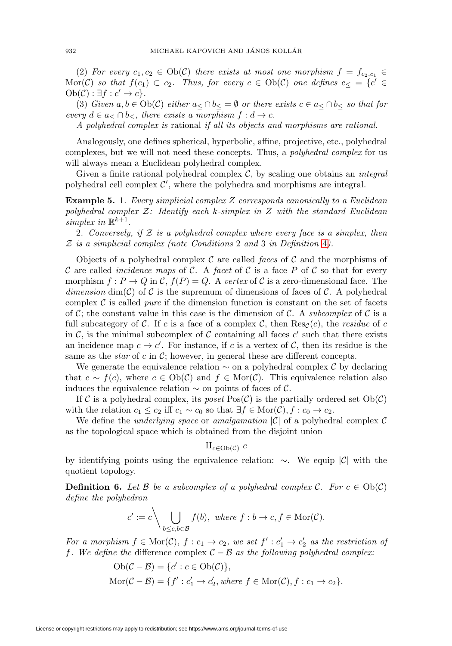(2) For every  $c_1, c_2 \in Ob(\mathcal{C})$  there exists at most one morphism  $f = f_{c_2,c_1} \in$ Mor(C) so that  $f(c_1) \subset c_2$ . Thus, for every  $c \in Ob(\mathcal{C})$  one defines  $c_ \leq = \{c' \in$  $Ob(\mathcal{C}): \exists f : c' \to c$ .

(3) Given  $a, b \in Ob(\mathcal{C})$  either  $a \subset \bigcap b \subset \emptyset$  or there exists  $c \in a \subset \bigcap b \subset so$  that for every  $d \in a < \cap b <$ , there exists a morphism  $f : d \to c$ .

A polyhedral complex is rational if all its objects and morphisms are rational.

Analogously, one defines spherical, hyperbolic, affine, projective, etc., polyhedral complexes, but we will not need these concepts. Thus, a polyhedral complex for us will always mean a Euclidean polyhedral complex.

Given a finite rational polyhedral complex  $C$ , by scaling one obtains an *integral* polyhedral cell complex  $\mathcal{C}'$ , where the polyhedra and morphisms are integral.

**Example 5.** 1. Every simplicial complex Z corresponds canonically to a Euclidean polyhedral complex  $Z$ : Identify each k-simplex in  $Z$  with the standard Euclidean simplex in  $\mathbb{R}^{k+1}$ .

2. Conversely, if  $Z$  is a polyhedral complex where every face is a simplex, then  $Z$  is a simplicial complex (note Conditions 2 and 3 in Definition [4](#page-2-0)).

Objects of a polyhedral complex  $\mathcal C$  are called faces of  $\mathcal C$  and the morphisms of C are called *incidence maps* of C. A facet of C is a face P of C so that for every morphism  $f: P \to Q$  in  $\mathcal{C}, f(P) = Q$ . A vertex of C is a zero-dimensional face. The dimension dim(C) of C is the supremum of dimensions of faces of C. A polyhedral complex  $\mathcal C$  is called *pure* if the dimension function is constant on the set of facets of C; the constant value in this case is the dimension of C. A subcomplex of C is a full subcategory of C. If c is a face of a complex C, then  $\text{Res}_{\mathcal{C}}(c)$ , the residue of c in C, is the minimal subcomplex of C containing all faces  $c'$  such that there exists an incidence map  $c \to c'$ . For instance, if c is a vertex of C, then its residue is the same as the *star* of c in  $\mathcal{C}$ ; however, in general these are different concepts.

We generate the equivalence relation  $\sim$  on a polyhedral complex C by declaring that  $c \sim f(c)$ , where  $c \in Ob(\mathcal{C})$  and  $f \in Mor(\mathcal{C})$ . This equivalence relation also induces the equivalence relation  $\sim$  on points of faces of C.

If C is a polyhedral complex, its poset  $Pos(\mathcal{C})$  is the partially ordered set  $Ob(\mathcal{C})$ with the relation  $c_1 \leq c_2$  iff  $c_1 \sim c_0$  so that  $\exists f \in \text{Mor}(\mathcal{C}), f : c_0 \to c_2$ .

We define the *underlying space* or *amalgamation*  $|\mathcal{C}|$  of a polyhedral complex  $\mathcal{C}$ as the topological space which is obtained from the disjoint union

# $\amalg_{c\in \mathrm{Ob}(\mathcal{C})} c$

by identifying points using the equivalence relation: ∼. We equip |C| with the quotient topology.

<span id="page-3-0"></span>**Definition 6.** Let B be a subcomplex of a polyhedral complex C. For  $c \in Ob(\mathcal{C})$ define the polyhedron

$$
c' := c \setminus \bigcup_{b \le c, b \in \mathcal{B}} f(b), \text{ where } f : b \to c, f \in \text{Mor}(\mathcal{C}).
$$

For a morphism  $f \in \text{Mor}(\mathcal{C}),$   $f: c_1 \to c_2$ , we set  $f': c'_1 \to c'_2$  as the restriction of f. We define the difference complex  $C - B$  as the following polyhedral complex:

$$
Ob(\mathcal{C} - \mathcal{B}) = \{c' : c \in Ob(\mathcal{C})\},
$$
  
Mor( $\mathcal{C} - \mathcal{B}$ ) =  $\{f' : c'_1 \rightarrow c'_2, where f \in Mor(\mathcal{C}), f : c_1 \rightarrow c_2\}.$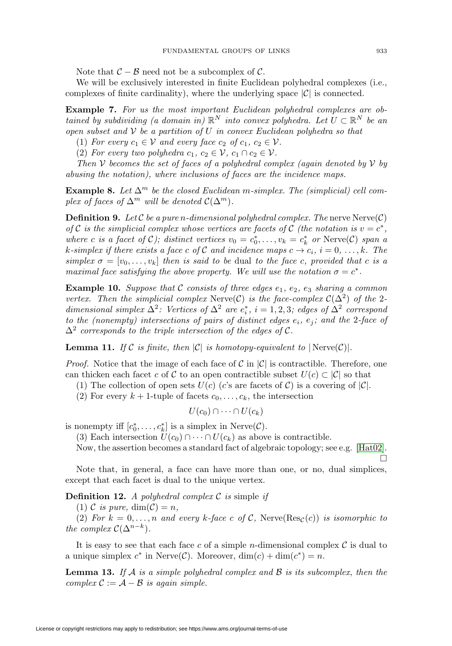Note that  $\mathcal{C} - \mathcal{B}$  need not be a subcomplex of  $\mathcal{C}$ .

We will be exclusively interested in finite Euclidean polyhedral complexes (i.e., complexes of finite cardinality), where the underlying space  $|\mathcal{C}|$  is connected.

<span id="page-4-0"></span>**Example 7.** For us the most important Euclidean polyhedral complexes are obtained by subdividing (a domain in)  $\mathbb{R}^N$  into convex polyhedra. Let  $U \subset \mathbb{R}^N$  be an open subset and  $V$  be a partition of U in convex Euclidean polyhedra so that

(1) For every  $c_1 \in V$  and every face  $c_2$  of  $c_1, c_2 \in V$ .

(2) For every two polyhedra  $c_1, c_2 \in \mathcal{V}$ ,  $c_1 \cap c_2 \in \mathcal{V}$ .

Then  $V$  becomes the set of faces of a polyhedral complex (again denoted by  $V$  by abusing the notation), where inclusions of faces are the incidence maps.

**Example 8.** Let  $\Delta^m$  be the closed Euclidean m-simplex. The (simplicial) cell complex of faces of  $\Delta^m$  will be denoted  $\mathcal{C}(\Delta^m)$ .

**Definition 9.** Let  $C$  be a pure n-dimensional polyhedral complex. The nerve  $N$ erve $(C)$ of C is the simplicial complex whose vertices are facets of C (the notation is  $v = c^*$ , where c is a facet of C); distinct vertices  $v_0 = c_0^*, \ldots, v_k = c_k^*$  or Nerve(C) span a k-simplex if there exists a face c of C and incidence maps  $c \to c_i$ ,  $i = 0, \ldots, k$ . The simplex  $\sigma = [v_0, \ldots, v_k]$  then is said to be dual to the face c, provided that c is a maximal face satisfying the above property. We will use the notation  $\sigma = c^*$ .

**Example 10.** Suppose that C consists of three edges  $e_1$ ,  $e_2$ ,  $e_3$  sharing a common vertex. Then the simplicial complex Nerve(C) is the face-complex  $\mathcal{C}(\Delta^2)$  of the 2dimensional simplex  $\Delta^2$ : Vertices of  $\Delta^2$  are  $e_i^*$ ,  $i = 1, 2, 3$ ; edges of  $\Delta^2$  correspond to the (nonempty) intersections of pairs of distinct edges  $e_i$ ,  $e_j$ ; and the 2-face of  $\Delta^2$  corresponds to the triple intersection of the edges of C.

**Lemma 11.** If C is finite, then  $|C|$  is homotopy-equivalent to  $|\text{Nerve}(C)|$ .

*Proof.* Notice that the image of each face of C in  $|\mathcal{C}|$  is contractible. Therefore, one can thicken each facet c of C to an open contractible subset  $U(c) \subset |\mathcal{C}|$  so that

(1) The collection of open sets  $U(c)$  (c's are facets of C) is a covering of  $|\mathcal{C}|$ .

(2) For every  $k + 1$ -tuple of facets  $c_0, \ldots, c_k$ , the intersection

$$
U(c_0) \cap \cdots \cap U(c_k)
$$

is nonempty iff  $[c_0^*, \ldots, c_k^*]$  is a simplex in Nerve $(C)$ .

(3) Each intersection  $U(c_0) \cap \cdots \cap U(c_k)$  as above is contractible.

Now, the assertion becomes a standard fact of algebraic topology; see e.g. [\[Hat02\]](#page-22-4).  $\Box$ 

Note that, in general, a face can have more than one, or no, dual simplices, except that each facet is dual to the unique vertex.

**Definition 12.** A polyhedral complex  $C$  is simple if

(1) C is pure,  $\dim(\mathcal{C}) = n$ ,

(2) For  $k = 0, \ldots, n$  and every k-face c of C, Nerve(Res<sub>C</sub>(c)) is isomorphic to the complex  $\mathcal{C}(\Delta^{n-k})$ .

It is easy to see that each face c of a simple n-dimensional complex  $\mathcal C$  is dual to a unique simplex  $c^*$  in Nerve $(\mathcal{C})$ . Moreover,  $\dim(c) + \dim(c^*) = n$ .

**Lemma 13.** If  $A$  is a simple polyhedral complex and  $B$  is its subcomplex, then the complex  $C := \mathcal{A} - \mathcal{B}$  is again simple.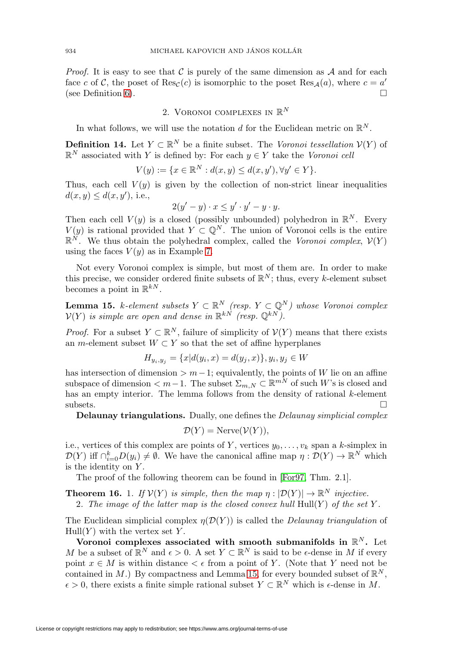*Proof.* It is easy to see that C is purely of the same dimension as  $A$  and for each face c of C, the poset of  $Res_C(c)$  is isomorphic to the poset  $Res_A(a)$ , where  $c = a'$  (see Definition 6). (see Definition [6\)](#page-3-0).

## 2. VORONOI COMPLEXES IN  $\mathbb{R}^N$

In what follows, we will use the notation  $d$  for the Euclidean metric on  $\mathbb{R}^N$ .

**Definition 14.** Let  $Y \subset \mathbb{R}^N$  be a finite subset. The Voronoi tessellation  $V(Y)$  of  $\mathbb{R}^N$  associated with Y is defined by: For each  $y \in Y$  take the Voronoi cell

$$
V(y) := \{ x \in \mathbb{R}^N : d(x, y) \le d(x, y'), \forall y' \in Y \}.
$$

Thus, each cell  $V(y)$  is given by the collection of non-strict linear inequalities  $d(x, y) \leq d(x, y')$ , i.e.,

$$
2(y'-y) \cdot x \leq y' \cdot y' - y \cdot y.
$$

Then each cell  $V(y)$  is a closed (possibly unbounded) polyhedron in  $\mathbb{R}^N$ . Every  $V(y)$  is rational provided that  $Y \subset \mathbb{Q}^N$ . The union of Voronoi cells is the entire  $\mathbb{R}^N$ . We thus obtain the polyhedral complex, called the Voronoi complex,  $\mathcal{V}(Y)$ using the faces  $V(y)$  as in Example [7.](#page-4-0)

Not every Voronoi complex is simple, but most of them are. In order to make this precise, we consider ordered finite subsets of  $\mathbb{R}^N$ ; thus, every k-element subset becomes a point in  $\mathbb{R}^{kN}$ .

<span id="page-5-0"></span>**Lemma 15.** k-element subsets  $Y \subset \mathbb{R}^N$  (resp.  $Y \subset \mathbb{Q}^N$ ) whose Voronoi complex  $V(Y)$  is simple are open and dense in  $\mathbb{R}^{kN}$  (resp.  $\mathbb{Q}^{kN}$ ).

*Proof.* For a subset  $Y \subset \mathbb{R}^N$ , failure of simplicity of  $\mathcal{V}(Y)$  means that there exists an m-element subset  $W \subset Y$  so that the set of affine hyperplanes

$$
H_{y_i, y_j} = \{x | d(y_i, x) = d(y_j, x)\}, y_i, y_j \in W
$$

has intersection of dimension  $>m-1$ ; equivalently, the points of W lie on an affine subspace of dimension  $\lt m-1$ . The subset  $\Sigma_{m,N} \subset \mathbb{R}^{mN}$  of such W's is closed and has an empty interior. The lemma follows from the density of rational k-element subsets.  $\Box$ 

**Delaunay triangulations.** Dually, one defines the Delaunay simplicial complex

$$
\mathcal{D}(Y) = \text{Nerve}(\mathcal{V}(Y)),
$$

i.e., vertices of this complex are points of Y, vertices  $y_0, \ldots, y_k$  span a k-simplex in  $\mathcal{D}(Y)$  iff  $\bigcap_{i=0}^k D(y_i) \neq \emptyset$ . We have the canonical affine map  $\eta: \mathcal{D}(Y) \to \mathbb{R}^N$  which is the identity on  $Y$ .

The proof of the following theorem can be found in [\[For97,](#page-22-5) Thm. 2.1].

**Theorem 16.** 1. If  $V(Y)$  is simple, then the map  $\eta : |\mathcal{D}(Y)| \to \mathbb{R}^N$  injective.

2. The image of the latter map is the closed convex hull  $Hull(Y)$  of the set Y.

The Euclidean simplicial complex  $\eta(\mathcal{D}(Y))$  is called the *Delaunay triangulation* of  $Hull(Y)$  with the vertex set Y.

**Voronoi complexes associated with smooth submanifolds in**  $\mathbb{R}^N$ **.** Let M be a subset of  $\mathbb{R}^N$  and  $\epsilon > 0$ . A set  $Y \subset \mathbb{R}^N$  is said to be  $\epsilon$ -dense in M if every point  $x \in M$  is within distance  $\lt \epsilon$  from a point of Y. (Note that Y need not be contained in M.) By compactness and Lemma [15,](#page-5-0) for every bounded subset of  $\mathbb{R}^N$ ,  $\epsilon > 0$ , there exists a finite simple rational subset  $Y \subset \mathbb{R}^N$  which is  $\epsilon$ -dense in M.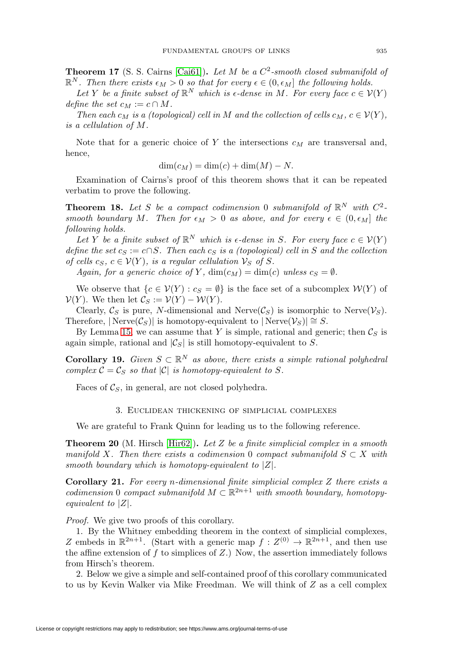<span id="page-6-1"></span>**Theorem 17** (S. S. Cairns [\[Cai61\]](#page-21-5)). Let M be a  $C^2$ -smooth closed submanifold of  $\mathbb{R}^N$ . Then there exists  $\epsilon_M > 0$  so that for every  $\epsilon \in (0, \epsilon_M]$  the following holds.

Let Y be a finite subset of  $\mathbb{R}^N$  which is  $\epsilon$ -dense in M. For every face  $c \in V(Y)$ define the set  $c_M := c \cap M$ .

Then each  $c_M$  is a (topological) cell in M and the collection of cells  $c_M$ ,  $c \in V(Y)$ , is a cellulation of M.

Note that for a generic choice of Y the intersections  $c_M$  are transversal and, hence,

$$
\dim(c_M) = \dim(c) + \dim(M) - N.
$$

Examination of Cairns's proof of this theorem shows that it can be repeated verbatim to prove the following.

**Theorem 18.** Let S be a compact codimension 0 submanifold of  $\mathbb{R}^N$  with  $C^2$ smooth boundary M. Then for  $\epsilon_M > 0$  as above, and for every  $\epsilon \in (0, \epsilon_M]$  the following holds.

Let Y be a finite subset of  $\mathbb{R}^N$  which is  $\epsilon$ -dense in S. For every face  $c \in \mathcal{V}(Y)$ define the set  $c_S := c \cap S$ . Then each  $c_S$  is a (topological) cell in S and the collection of cells  $c_S$ ,  $c \in V(Y)$ , is a regular cellulation  $\mathcal{V}_S$  of S.

Again, for a generic choice of Y,  $\dim(c_M) = \dim(c)$  unless  $c_S = \emptyset$ .

We observe that  $\{c \in V(Y) : c_S = \emptyset\}$  is the face set of a subcomplex  $W(Y)$  of  $\mathcal{V}(Y)$ . We then let  $\mathcal{C}_S := \mathcal{V}(Y) - \mathcal{W}(Y)$ .

Clearly,  $\mathcal{C}_S$  is pure, N-dimensional and Nerve( $\mathcal{C}_S$ ) is isomorphic to Nerve( $\mathcal{V}_S$ ). Therefore,  $|\text{Nerve}(\mathcal{C}_S)|$  is homotopy-equivalent to  $|\text{Nerve}(\mathcal{V}_S)| \cong S$ .

By Lemma [15,](#page-5-0) we can assume that Y is simple, rational and generic; then  $\mathcal{C}_S$  is again simple, rational and  $|\mathcal{C}_S|$  is still homotopy-equivalent to S.

<span id="page-6-0"></span>**Corollary 19.** Given  $S \subset \mathbb{R}^N$  as above, there exists a simple rational polyhedral complex  $C = C_S$  so that  $|C|$  is homotopy-equivalent to S.

<span id="page-6-2"></span>Faces of  $\mathcal{C}_S$ , in general, are not closed polyhedra.

### 3. Euclidean thickening of simplicial complexes

We are grateful to Frank Quinn for leading us to the following reference.

**Theorem 20** (M. Hirsch [\[Hir62\]](#page-22-6))**.** Let Z be a finite simplicial complex in a smooth manifold X. Then there exists a codimension 0 compact submanifold  $S \subset X$  with smooth boundary which is homotopy-equivalent to  $|Z|$ .

<span id="page-6-3"></span>**Corollary 21.** For every *n*-dimensional finite simplicial complex Z there exists a codimension 0 compact submanifold  $M \subset \mathbb{R}^{2n+1}$  with smooth boundary, homotopyequivalent to  $|Z|$ .

Proof. We give two proofs of this corollary.

1. By the Whitney embedding theorem in the context of simplicial complexes, Z embeds in  $\mathbb{R}^{2n+1}$ . (Start with a generic map  $f: Z^{(0)} \to \mathbb{R}^{2n+1}$ , and then use the affine extension of f to simplices of  $Z$ .) Now, the assertion immediately follows from Hirsch's theorem.

2. Below we give a simple and self-contained proof of this corollary communicated to us by Kevin Walker via Mike Freedman. We will think of Z as a cell complex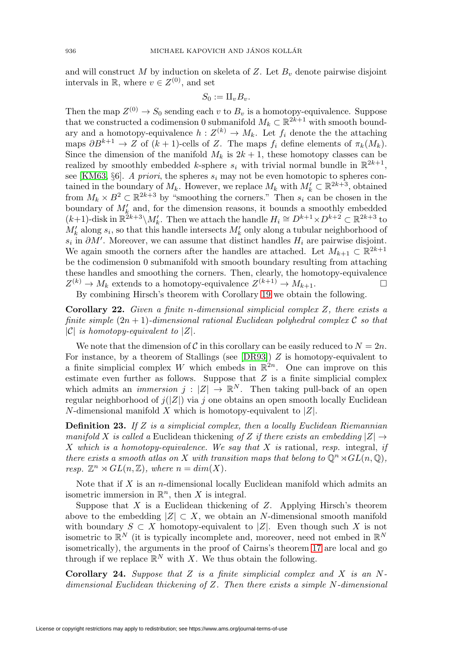and will construct M by induction on skeleta of Z. Let  $B<sub>v</sub>$  denote pairwise disjoint intervals in R, where  $v \in Z^{(0)}$ , and set

$$
S_0 := \amalg_v B_v.
$$

Then the map  $Z^{(0)} \to S_0$  sending each v to  $B_v$  is a homotopy-equivalence. Suppose that we constructed a codimension 0 submanifold  $M_k \subset \mathbb{R}^{2k+1}$  with smooth boundary and a homotopy-equivalence  $h: Z^{(k)} \to M_k$ . Let  $f_i$  denote the the attaching maps  $\partial B^{k+1} \to Z$  of  $(k+1)$ -cells of Z. The maps  $f_i$  define elements of  $\pi_k(M_k)$ . Since the dimension of the manifold  $M_k$  is  $2k + 1$ , these homotopy classes can be realized by smoothly embedded k-sphere  $s_i$  with trivial normal bundle in  $\mathbb{R}^{2k+1}$ , see [\[KM63,](#page-22-7) §6]. A priori, the spheres  $s_i$  may not be even homotopic to spheres contained in the boundary of  $M_k$ . However, we replace  $M_k$  with  $M'_k \subset \mathbb{R}^{2k+3}$ , obtained from  $M_k \times B^2 \subset \mathbb{R}^{2k+3}$  by "smoothing the corners." Then  $s_i$  can be chosen in the boundary of  $M'_k$  and, for the dimension reasons, it bounds a smoothly embedded  $(k+1)$ -disk in  $\mathbb{R}^{2k+3}\backslash M'_{k}$ . Then we attach the handle  $H_i \cong D^{k+1}\times D^{k+2} \subset \mathbb{R}^{2k+3}$  to  $M'_k$  along  $s_i$ , so that this handle intersects  $M'_k$  only along a tubular neighborhood of  $s_i$  in  $\partial M'$ . Moreover, we can assume that distinct handles  $H_i$  are pairwise disjoint. We again smooth the corners after the handles are attached. Let  $M_{k+1} \subset \mathbb{R}^{2k+1}$ be the codimension 0 submanifold with smooth boundary resulting from attaching these handles and smoothing the corners. Then, clearly, the homotopy-equivalence  $Z^{(k)} \to M_k$  extends to a homotopy-equivalence  $Z^{(k+1)} \to M_{k+1}$ .

By combining Hirsch's theorem with Corollary [19](#page-6-0) we obtain the following.

<span id="page-7-0"></span>**Corollary 22.** Given a finite n-dimensional simplicial complex Z, there exists a finite simple  $(2n + 1)$ -dimensional rational Euclidean polyhedral complex C so that  $|\mathcal{C}|$  is homotopy-equivalent to  $|Z|$ .

We note that the dimension of C in this corollary can be easily reduced to  $N = 2n$ . For instance, by a theorem of Stallings (see  $[DR93]$ ) Z is homotopy-equivalent to a finite simplicial complex W which embeds in  $\mathbb{R}^{2n}$ . One can improve on this estimate even further as follows. Suppose that  $Z$  is a finite simplicial complex which admits an *immersion*  $j : |Z| \to \mathbb{R}^N$ . Then taking pull-back of an open regular neighborhood of  $j(|Z|)$  via j one obtains an open smooth locally Euclidean  $N$ -dimensional manifold  $X$  which is homotopy-equivalent to  $|Z|$ .

**Definition 23.** If Z is a simplicial complex, then a locally Euclidean Riemannian manifold X is called a Euclidean thickening of Z if there exists an embedding  $|Z| \rightarrow$ X which is a homotopy-equivalence. We say that X is rational, resp. integral, if there exists a smooth atlas on X with transition maps that belong to  $\mathbb{Q}^n \rtimes GL(n, \mathbb{Q})$ , resp.  $\mathbb{Z}^n \rtimes GL(n,\mathbb{Z})$ , where  $n = dim(X)$ .

Note that if X is an n-dimensional locally Euclidean manifold which admits an isometric immersion in  $\mathbb{R}^n$ , then X is integral.

Suppose that  $X$  is a Euclidean thickening of  $Z$ . Applying Hirsch's theorem above to the embedding  $|Z| \subset X$ , we obtain an N-dimensional smooth manifold with boundary  $S \subset X$  homotopy-equivalent to |Z|. Even though such X is not isometric to  $\mathbb{R}^N$  (it is typically incomplete and, moreover, need not embed in  $\mathbb{R}^N$ isometrically), the arguments in the proof of Cairns's theorem [17](#page-6-1) are local and go through if we replace  $\mathbb{R}^N$  with X. We thus obtain the following.

**Corollary 24.** Suppose that Z is a finite simplicial complex and X is an Ndimensional Euclidean thickening of Z. Then there exists a simple N-dimensional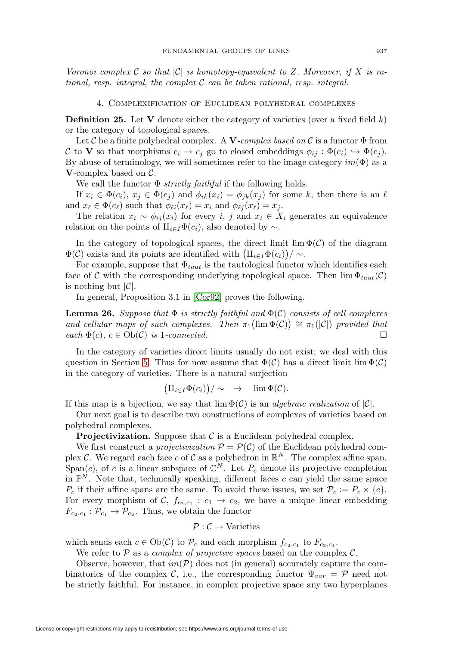<span id="page-8-1"></span>Voronoi complex C so that  $|\mathcal{C}|$  is homotopy-equivalent to Z. Moreover, if X is rational, resp. integral, the complex  $C$  can be taken rational, resp. integral.

4. Complexification of Euclidean polyhedral complexes

**Definition 25.** Let **V** denote either the category of varieties (over a fixed field  $k$ ) or the category of topological spaces.

Let C be a finite polyhedral complex. A **V**-complex based on C is a functor  $\Phi$  from C to **V** so that morphisms  $c_i \to c_j$  go to closed embeddings  $\phi_{ij} : \Phi(c_i) \to \Phi(c_j)$ . By abuse of terminology, we will sometimes refer to the image category  $im(\Phi)$  as a **V**-complex based on C.

We call the functor  $\Phi$  *strictly faithful* if the following holds.

If  $x_i \in \Phi(c_i)$ ,  $x_j \in \Phi(c_j)$  and  $\phi_{ik}(x_i) = \phi_{jk}(x_j)$  for some k, then there is an  $\ell$ and  $x_{\ell} \in \Phi(c_{\ell})$  such that  $\phi_{\ell i}(x_{\ell}) = x_i$  and  $\phi_{\ell i}(x_{\ell}) = x_i$ .

The relation  $x_i \sim \phi_{ij}(x_i)$  for every i, j and  $x_i \in X_i$  generates an equivalence relation on the points of  $\mathcal{H}_{i\in I}\Phi(c_i)$ , also denoted by ~.

In the category of topological spaces, the direct limit  $\lim \Phi(\mathcal{C})$  of the diagram  $\Phi(\mathcal{C})$  exists and its points are identified with  $\left(\prod_{i\in I}\Phi(c_i)\right)/\sim$ .

For example, suppose that  $\Phi_{taut}$  is the tautological functor which identifies each face of C with the corresponding underlying topological space. Then  $\lim \Phi_{taut}(\mathcal{C})$ is nothing but  $|\mathcal{C}|$ .

In general, Proposition 3.1 in [\[Cor92\]](#page-21-6) proves the following.

<span id="page-8-0"></span>**Lemma 26.** Suppose that  $\Phi$  is strictly faithful and  $\Phi(\mathcal{C})$  consists of cell complexes and cellular maps of such complexes. Then  $\pi_1(\lim \Phi(C)) \cong \pi_1(|C|)$  provided that  $\mathfrak{e}(\alpha) \mathfrak{e}(\alpha) \in \mathcal{O}(\alpha)$  is 1-connected.

In the category of varieties direct limits usually do not exist; we deal with this question in Section [5.](#page-11-0) Thus for now assume that  $\Phi(\mathcal{C})$  has a direct limit lim  $\Phi(\mathcal{C})$ in the category of varieties. There is a natural surjection

$$
\big(\amalg_{i\in I}\Phi(c_i)\big)/\sim\quad\to\quad\lim\Phi(\mathcal{C}).
$$

If this map is a bijection, we say that  $\lim \Phi(\mathcal{C})$  is an *algebraic realization* of  $|\mathcal{C}|$ .

Our next goal is to describe two constructions of complexes of varieties based on polyhedral complexes.

**Projectivization.** Suppose that  $C$  is a Euclidean polyhedral complex.

We first construct a *projectivization*  $P = P(C)$  of the Euclidean polyhedral complex C. We regard each face c of C as a polyhedron in  $\mathbb{R}^N$ . The complex affine span, Span(c), of c is a linear subspace of  $\mathbb{C}^N$ . Let  $P_c$  denote its projective completion in  $\mathbb{P}^N$ . Note that, technically speaking, different faces c can yield the same space  $P_c$  if their affine spans are the same. To avoid these issues, we set  $\mathcal{P}_c := P_c \times \{c\}.$ For every morphism of C,  $f_{c_2,c_1}: c_1 \rightarrow c_2$ , we have a unique linear embedding  $F_{c_2,c_1} : \mathcal{P}_{c_1} \to \mathcal{P}_{c_2}$ . Thus, we obtain the functor

$$
\mathcal{P}: \mathcal{C} \to \text{Varieties}
$$

which sends each  $c \in Ob(\mathcal{C})$  to  $\mathcal{P}_c$  and each morphism  $f_{c_2,c_1}$  to  $F_{c_2,c_1}$ .

We refer to  $P$  as a *complex of projective spaces* based on the complex  $C$ .

Observe, however, that  $im(\mathcal{P})$  does not (in general) accurately capture the combinatorics of the complex C, i.e., the corresponding functor  $\Psi_{var} = \mathcal{P}$  need not be strictly faithful. For instance, in complex projective space any two hyperplanes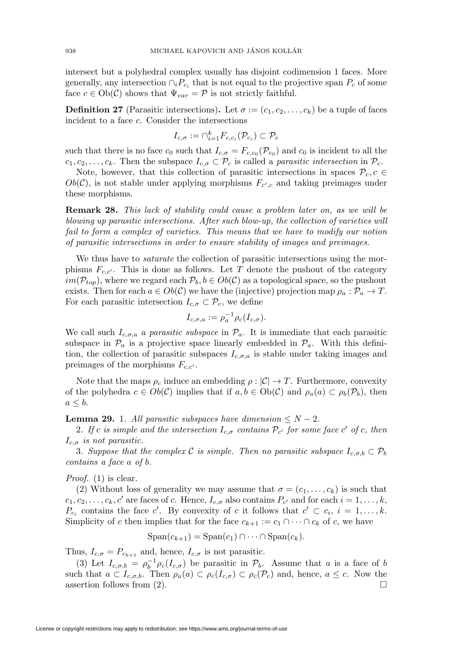intersect but a polyhedral complex usually has disjoint codimension 1 faces. More generally, any intersection  $\cap_i P_{c_i}$  that is not equal to the projective span  $P_c$  of some face  $c \in Ob(\mathcal{C})$  shows that  $\Psi_{var} = \mathcal{P}$  is not strictly faithful.

**Definition 27** (Parasitic intersections). Let  $\sigma := (c_1, c_2, \ldots, c_k)$  be a tuple of faces incident to a face c. Consider the intersections

$$
I_{c,\sigma} := \cap_{i=1}^k F_{c,c_i}(\mathcal{P}_{c_i}) \subset \mathcal{P}_c
$$

such that there is no face  $c_0$  such that  $I_{c,\sigma} = F_{c,c_0}(\mathcal{P}_{c_0})$  and  $c_0$  is incident to all the  $c_1, c_2, \ldots, c_k$ . Then the subspace  $I_{c,\sigma} \subset \mathcal{P}_c$  is called a *parasitic intersection* in  $\mathcal{P}_c$ .

Note, however, that this collection of parasitic intersections in spaces  $\mathcal{P}_c, c \in$  $Ob(\mathcal{C})$ , is not stable under applying morphisms  $F_{c',c}$  and taking preimages under these morphisms.

**Remark 28.** This lack of stability could cause a problem later on, as we will be blowing up parasitic intersections. After such blow-up, the collection of varieties will fail to form a complex of varieties. This means that we have to modify our notion of parasitic intersections in order to ensure stability of images and preimages.

We thus have to *saturate* the collection of parasitic intersections using the morphisms  $F_{c,c'}$ . This is done as follows. Let T denote the pushout of the category  $im(\mathcal{P}_{top})$ , where we regard each  $\mathcal{P}_b, b \in Ob(\mathcal{C})$  as a topological space, so the pushout exists. Then for each  $a \in Ob(\mathcal{C})$  we have the (injective) projection map  $\rho_a : \mathcal{P}_a \to T$ . For each parasitic intersection  $I_{c,\sigma} \subset \mathcal{P}_c$ , we define

$$
I_{c,\sigma,a} := \rho_a^{-1} \rho_c(I_{c,\sigma}).
$$

We call such  $I_{c,q,a}$  a parasitic subspace in  $\mathcal{P}_a$ . It is immediate that each parasitic subspace in  $\mathcal{P}_a$  is a projective space linearly embedded in  $\mathcal{P}_a$ . With this definition, the collection of parasitic subspaces  $I_{c,\sigma,a}$  is stable under taking images and preimages of the morphisms  $F_{c,c'}$ .

Note that the maps  $\rho_c$  induce an embedding  $\rho : |\mathcal{C}| \to T$ . Furthermore, convexity of the polyhedra  $c \in Ob(\mathcal{C})$  implies that if  $a, b \in Ob(\mathcal{C})$  and  $\rho_a(a) \subset \rho_b(\mathcal{P}_b)$ , then  $a \leq b$ .

<span id="page-9-0"></span>**Lemma 29.** 1. All parasitic subspaces have dimension  $\leq N-2$ .

2. If c is simple and the intersection  $I_{c,\sigma}$  contains  $\mathcal{P}_{c'}$  for some face  $c'$  of c, then  $I_{c,\sigma}$  is not parasitic.

3. Suppose that the complex C is simple. Then no parasitic subspace  $I_{c,\sigma,b} \subset \mathcal{P}_b$ contains a face a of b.

Proof. (1) is clear.

(2) Without loss of generality we may assume that  $\sigma = (c_1, \ldots, c_k)$  is such that  $c_1, c_2, \ldots, c_k, c'$  are faces of c. Hence,  $I_{c,\sigma}$  also contains  $P_{c'}$  and for each  $i = 1, \ldots, k$ ,  $P_{c_i}$  contains the face c'. By convexity of c it follows that  $c' \subset c_i$ ,  $i = 1, \ldots, k$ . Simplicity of c then implies that for the face  $c_{k+1} := c_1 \cap \cdots \cap c_k$  of c, we have

$$
Span(c_{k+1}) = Span(c_1) \cap \cdots \cap Span(c_k).
$$

Thus,  $I_{c,\sigma} = P_{c_{k+1}}$  and, hence,  $I_{c,\sigma}$  is not parasitic.

(3) Let  $I_{c,\sigma,b} = \rho_b^{-1} \rho_c(I_{c,\sigma})$  be parasitic in  $\mathcal{P}_b$ . Assume that a is a face of b such that  $a \subset I_{c,\sigma,b}$ . Then  $\rho_a(a) \subset \rho_c(I_{c,\sigma}) \subset \rho_c(\mathcal{P}_c)$  and, hence,  $a \leq c$ . Now the assertion follows from  $(2)$ .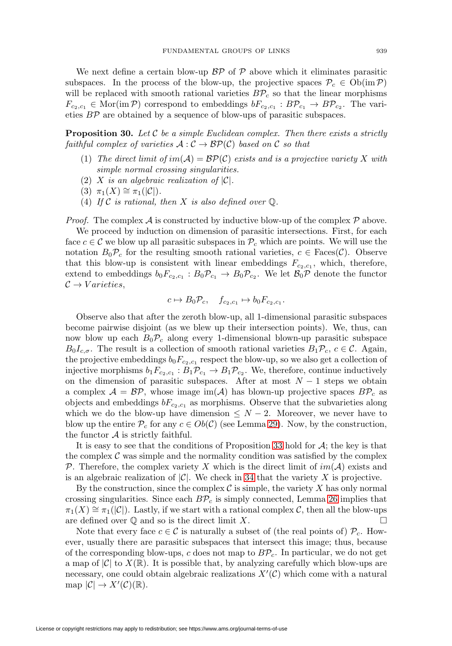We next define a certain blow-up  $\mathcal{BP}$  of  $\mathcal P$  above which it eliminates parasitic subspaces. In the process of the blow-up, the projective spaces  $\mathcal{P}_c \in \mathrm{Ob}(\mathrm{im}\,\mathcal{P})$ will be replaced with smooth rational varieties  $B\mathcal{P}_c$  so that the linear morphisms  $F_{c_2,c_1} \in \text{Mor}(\text{im } \mathcal{P})$  correspond to embeddings  $bF_{c_2,c_1} : B\mathcal{P}_{c_1} \to B\mathcal{P}_{c_2}$ . The varieties BP are obtained by a sequence of blow-ups of parasitic subspaces.

**Proposition 30.** Let  $\mathcal C$  be a simple Euclidean complex. Then there exists a strictly faithful complex of varieties  $A: \mathcal{C} \to \mathcal{BP}(\mathcal{C})$  based on  $\mathcal C$  so that

- (1) The direct limit of  $im(A) = \mathcal{BP}(\mathcal{C})$  exists and is a projective variety X with simple normal crossing singularities.
- (2) X is an algebraic realization of  $|\mathcal{C}|$ .
- (3)  $\pi_1(X) \cong \pi_1(|\mathcal{C}|).$
- (4) If  $\mathcal C$  is rational, then X is also defined over  $\mathbb Q$ .

*Proof.* The complex A is constructed by inductive blow-up of the complex  $P$  above.

We proceed by induction on dimension of parasitic intersections. First, for each face  $c \in \mathcal{C}$  we blow up all parasitic subspaces in  $\mathcal{P}_c$  which are points. We will use the notation  $B_0\mathcal{P}_c$  for the resulting smooth rational varieties,  $c \in \text{Face}(\mathcal{C})$ . Observe that this blow-up is consistent with linear embeddings  $F_{c_2,c_1}$ , which, therefore, extend to embeddings  $b_0F_{c_2,c_1}: B_0\mathcal{P}_{c_1} \to B_0\mathcal{P}_{c_2}$ . We let  $\mathcal{B}_0\mathcal{P}$  denote the functor  $\mathcal{C} \rightarrow Varieties$ ,

$$
c \mapsto B_0 \mathcal{P}_c, \quad f_{c_2,c_1} \mapsto b_0 F_{c_2,c_1}.
$$

Observe also that after the zeroth blow-up, all 1-dimensional parasitic subspaces become pairwise disjoint (as we blew up their intersection points). We, thus, can now blow up each  $B_0 \mathcal{P}_c$  along every 1-dimensional blown-up parasitic subspace  $B_0I_{c,\sigma}$ . The result is a collection of smooth rational varieties  $B_1\mathcal{P}_c$ ,  $c \in \mathcal{C}$ . Again, the projective embeddings  $b_0F_{c_2,c_1}$  respect the blow-up, so we also get a collection of injective morphisms  $b_1F_{c_2,c_1}:B_1\mathcal{P}_{c_1}\to B_1\mathcal{P}_{c_2}$ . We, therefore, continue inductively on the dimension of parasitic subspaces. After at most  $N-1$  steps we obtain a complex  $A = \mathcal{BP}$ , whose image im(A) has blown-up projective spaces  $BP_c$  as objects and embeddings  $bF_{c_2,c_1}$  as morphisms. Observe that the subvarieties along which we do the blow-up have dimension  $\leq N-2$ . Moreover, we never have to blow up the entire  $\mathcal{P}_c$  for any  $c \in Ob(\mathcal{C})$  (see Lemma [29\)](#page-9-0). Now, by the construction, the functor  $A$  is strictly faithful.

It is easy to see that the conditions of Proposition [33](#page-11-1) hold for  $A$ ; the key is that the complex  $\mathcal C$  was simple and the normality condition was satisfied by the complex P. Therefore, the complex variety X which is the direct limit of  $im(\mathcal{A})$  exists and is an algebraic realization of  $|\mathcal{C}|$ . We check in [34](#page-12-0) that the variety X is projective.

By the construction, since the complex  $\mathcal C$  is simple, the variety X has only normal crossing singularities. Since each  $BP_c$  is simply connected, Lemma [26](#page-8-0) implies that  $\pi_1(X) \cong \pi_1(|\mathcal{C}|)$ . Lastly, if we start with a rational complex C, then all the blow-ups are defined over  $\mathbb Q$  and so is the direct limit X.

Note that every face  $c \in \mathcal{C}$  is naturally a subset of (the real points of)  $\mathcal{P}_c$ . However, usually there are parasitic subspaces that intersect this image; thus, because of the corresponding blow-ups, c does not map to  $BP_c$ . In particular, we do not get a map of  $|\mathcal{C}|$  to  $X(\mathbb{R})$ . It is possible that, by analyzing carefully which blow-ups are necessary, one could obtain algebraic realizations  $X'(\mathcal{C})$  which come with a natural map  $|\mathcal{C}| \to X'(\mathcal{C})(\mathbb{R}).$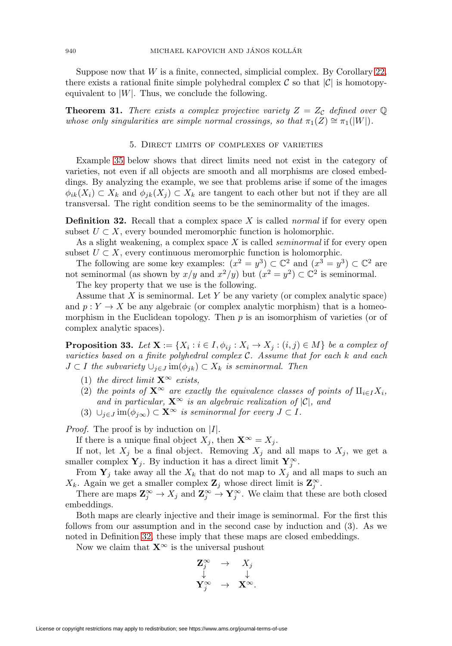Suppose now that  $W$  is a finite, connected, simplicial complex. By Corollary [22,](#page-7-0) there exists a rational finite simple polyhedral complex  $\mathcal C$  so that  $|\mathcal C|$  is homotopyequivalent to  $|W|$ . Thus, we conclude the following.

<span id="page-11-3"></span><span id="page-11-0"></span>**Theorem 31.** There exists a complex projective variety  $Z = Z_c$  defined over  $\mathbb{Q}$ whose only singularities are simple normal crossings, so that  $\pi_1(Z) \cong \pi_1(|W|)$ .

#### 5. Direct limits of complexes of varieties

Example [35](#page-13-0) below shows that direct limits need not exist in the category of varieties, not even if all objects are smooth and all morphisms are closed embeddings. By analyzing the example, we see that problems arise if some of the images  $\phi_{ik}(X_i) \subset X_k$  and  $\phi_{ik}(X_i) \subset X_k$  are tangent to each other but not if they are all transversal. The right condition seems to be the seminormality of the images.

<span id="page-11-2"></span>**Definition 32.** Recall that a complex space X is called *normal* if for every open subset  $U \subset X$ , every bounded meromorphic function is holomorphic.

As a slight weakening, a complex space  $X$  is called *seminormal* if for every open subset  $U \subset X$ , every continuous meromorphic function is holomorphic.

The following are some key examples:  $(x^2 = y^3) \subset \mathbb{C}^2$  and  $(x^3 = y^3) \subset \mathbb{C}^2$  are not seminormal (as shown by  $x/y$  and  $x^2/y$ ) but  $(x^2 = y^2) \subset \mathbb{C}^2$  is seminormal.

The key property that we use is the following.

Assume that  $X$  is seminormal. Let  $Y$  be any variety (or complex analytic space) and  $p: Y \to X$  be any algebraic (or complex analytic morphism) that is a homeomorphism in the Euclidean topology. Then  $p$  is an isomorphism of varieties (or of complex analytic spaces).

<span id="page-11-1"></span>**Proposition 33.** Let  $\mathbf{X} := \{X_i : i \in I, \phi_{ij} : X_i \to X_j : (i,j) \in M\}$  be a complex of varieties based on a finite polyhedral complex  $C$ . Assume that for each  $k$  and each  $J \subset I$  the subvariety  $\cup_{j \in J}$  im $(\phi_{jk}) \subset X_k$  is seminormal. Then

- (1) the direct limit  $\mathbf{X}^{\infty}$  exists,
- (2) the points of  $X^{\infty}$  are exactly the equivalence classes of points of  $\mathbb{I}_{i\in I}X_i$ , and in particular,  $\mathbf{X}^{\infty}$  is an algebraic realization of  $|\mathcal{C}|$ , and
- (3)  $\cup_{j\in J}$  im( $\phi_{j\infty}$ ) ⊂ **X**<sup>∞</sup> is seminormal for every  $J \subset I$ .

*Proof.* The proof is by induction on  $|I|$ .

If there is a unique final object  $X_i$ , then  $\mathbf{X}^{\infty} = X_i$ .

If not, let  $X_j$  be a final object. Removing  $X_j$  and all maps to  $X_j$ , we get a smaller complex  $\mathbf{Y}_j$ . By induction it has a direct limit  $\mathbf{Y}_j^{\infty}$ .

From  $Y_j$  take away all the  $X_k$  that do not map to  $X_j$  and all maps to such an  $X_k$ . Again we get a smaller complex  $\mathbf{Z}_j$  whose direct limit is  $\mathbf{Z}_j^{\infty}$ .

There are maps  $\mathbb{Z}_j^{\infty} \to X_j$  and  $\mathbb{Z}_j^{\infty} \to \mathbb{Y}_j^{\infty}$ . We claim that these are both closed embeddings.

Both maps are clearly injective and their image is seminormal. For the first this follows from our assumption and in the second case by induction and (3). As we noted in Definition [32,](#page-11-2) these imply that these maps are closed embeddings.

Now we claim that  $X^{\infty}$  is the universal pushout

$$
\begin{array}{ccc}\n\mathbf{Z}_{j}^{\infty} & \rightarrow & X_{j} \\
\downarrow & & \downarrow \\
\mathbf{Y}_{j}^{\infty} & \rightarrow & \mathbf{X}^{\infty}.\n\end{array}
$$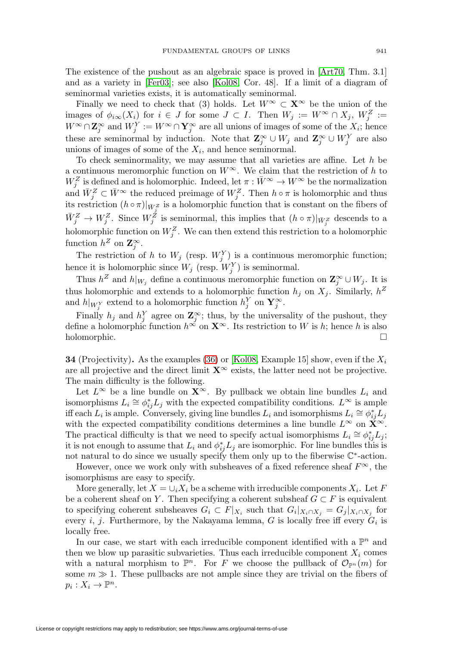The existence of the pushout as an algebraic space is proved in [\[Art70,](#page-21-7) Thm. 3.1] and as a variety in [\[Fer03\]](#page-22-9); see also [\[Kol08,](#page-23-7) Cor. 48]. If a limit of a diagram of seminormal varieties exists, it is automatically seminormal.

Finally we need to check that (3) holds. Let  $W^{\infty} \subset \mathbf{X}^{\infty}$  be the union of the images of  $\phi_{i\infty}(X_i)$  for  $i \in J$  for some  $J \subset I$ . Then  $W_j := W^{\infty} \cap X_j$ ,  $W_j^Z :=$  $W^{\infty} \cap \mathbb{Z}_{j}^{\infty}$  and  $W_j^Y := W^{\infty} \cap \mathbb{Y}_{j}^{\infty}$  are all unions of images of some of the  $X_i$ ; hence these are seminormal by induction. Note that  $\mathbb{Z}_j^{\infty} \cup W_j$  and  $\mathbb{Z}_j^{\infty} \cup W_j^Y$  are also unions of images of some of the  $X_i$ , and hence seminormal.

To check seminormality, we may assume that all varieties are affine. Let  $h$  be a continuous meromorphic function on  $W^{\infty}$ . We claim that the restriction of h to  $W_j^Z$  is defined and is holomorphic. Indeed, let  $\pi : \bar{W}^{\infty} \to W^{\infty}$  be the normalization and  $\bar{W}_j^Z \subset \bar{W}^{\infty}$  the reduced preimage of  $W_j^Z$ . Then  $h \circ \pi$  is holomorphic and thus its restriction  $(h \circ \pi)|_{\bar{W}^Z}$  is a holomorphic function that is constant on the fibers of  $\bar{W}_j^Z \to W_j^Z$ . Since  $W_j^{\tilde{Z}}$  is seminormal, this implies that  $(h \circ \pi)|_{\bar{W}_j^Z}$  descends to a holomorphic function on  $W_j^Z$ . We can then extend this restriction to a holomorphic function  $h^Z$  on  $\mathbf{Z}_j^{\infty}$ .

The restriction of h to  $W_j$  (resp.  $W_j^Y$ ) is a continuous meromorphic function; hence it is holomorphic since  $W_j$  (resp.  $W_j^Y$ ) is seminormal.

Thus  $h^Z$  and  $h|_{W_j}$  define a continuous meromorphic function on  $\mathbb{Z}_j^{\infty} \cup W_j$ . It is thus holomorphic and extends to a holomorphic function  $h_j$  on  $X_j$ . Similarly,  $h^Z$ and  $h|_{W_j^Y}$  extend to a holomorphic function  $h_j^Y$  on  $\mathbf{Y}_j^{\infty}$ .

Finally  $h_j$  and  $h_j^Y$  agree on  $\mathbb{Z}_j^{\infty}$ ; thus, by the universality of the pushout, they define a holomorphic function  $h^{\infty}$  on  $\mathbf{X}^{\infty}$ . Its restriction to W is h; hence h is also holomorphic.  $\square$ 

<span id="page-12-0"></span>**34** (Projectivity). As the examples [\(36\)](#page-15-0) or [\[Kol08,](#page-23-7) Example 15] show, even if the  $X_i$ are all projective and the direct limit  $\mathbf{X}^{\infty}$  exists, the latter need not be projective. The main difficulty is the following.

Let  $L^{\infty}$  be a line bundle on  $\mathbf{X}^{\infty}$ . By pullback we obtain line bundles  $L_i$  and isomorphisms  $L_i \cong \phi_{ij}^* L_j$  with the expected compatibility conditions.  $L^{\infty}$  is ample iff each  $L_i$  is ample. Conversely, giving line bundles  $L_i$  and isomorphisms  $L_i \cong \phi_{ij}^* L_j$ with the expected compatibility conditions determines a line bundle  $L^{\infty}$  on  $\mathbf{X}^{\infty}$ . The practical difficulty is that we need to specify actual isomorphisms  $L_i \cong \phi_{ij}^* L_j$ ; it is not enough to assume that  $L_i$  and  $\phi_{ij}^* L_j$  are isomorphic. For line bundles this is not natural to do since we usually specify them only up to the fiberwise C∗-action.

However, once we work only with subsheaves of a fixed reference sheaf  $F^{\infty}$ , the isomorphisms are easy to specify.

More generally, let  $X = \bigcup_i X_i$  be a scheme with irreducible components  $X_i$ . Let F be a coherent sheaf on Y. Then specifying a coherent subsheaf  $G \subset F$  is equivalent to specifying coherent subsheaves  $G_i \subset F|_{X_i}$  such that  $G_i|_{X_i \cap X_j} = G_j|_{X_i \cap X_j}$  for every i, j. Furthermore, by the Nakayama lemma, G is locally free iff every  $G_i$  is locally free.

In our case, we start with each irreducible component identified with a  $\mathbb{P}^n$  and then we blow up parasitic subvarieties. Thus each irreducible component  $X_i$  comes with a natural morphism to  $\mathbb{P}^n$ . For F we choose the pullback of  $\mathcal{O}_{\mathbb{P}^n}(m)$  for some  $m \gg 1$ . These pullbacks are not ample since they are trivial on the fibers of  $p_i: X_i \to \mathbb{P}^n$ .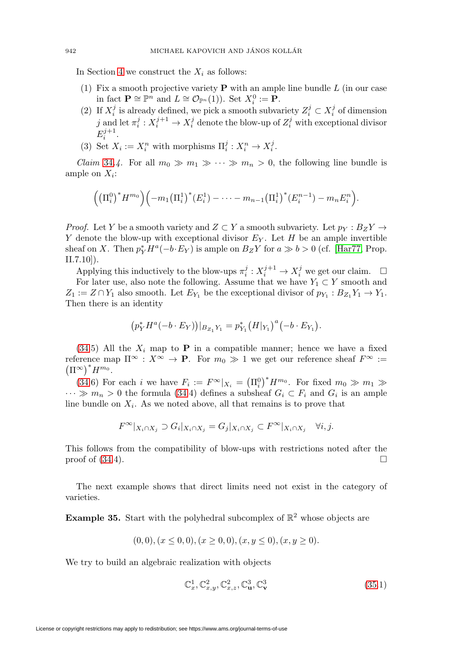In Section [4](#page-8-1) we construct the  $X_i$  as follows:

- (1) Fix a smooth projective variety **P** with an ample line bundle L (in our case in fact  $\mathbf{P} \cong \mathbb{P}^n$  and  $L \cong \mathcal{O}_{\mathbb{P}^n}(1)$ ). Set  $X_i^0 := \mathbf{P}$ .
- (2) If  $X_i^j$  is already defined, we pick a smooth subvariety  $Z_i^j \subset X_i^j$  of dimension  $j$  and let  $\pi_i^j: X_i^{j+1} \to X_i^j$  denote the blow-up of  $Z_i^j$  with exceptional divisor  $E_i^{j+1}$ .
- (3) Set  $X_i := X_i^n$  with morphisms  $\Pi_i^j : X_i^n \to X_i^j$ .

*Claim* [34](#page-12-0).4. For all  $m_0 \gg m_1 \gg \cdots \gg m_n > 0$ , the following line bundle is ample on  $X_i$ :

$$
((\Pi_i^0)^* H^{m_0})\left(-m_1(\Pi_i^1)^*(E_i^1) - \cdots - m_{n-1}(\Pi_i^1)^*(E_i^{n-1}) - m_n E_i^n\right).
$$

*Proof.* Let Y be a smooth variety and  $Z \subset Y$  a smooth subvariety. Let  $p_Y : B_Z Y \to Y$ Y denote the blow-up with exceptional divisor  $E_Y$ . Let H be an ample invertible sheaf on X. Then  $p_Y^* H^a(-b \cdot E_Y)$  is ample on  $B_Z Y$  for  $a \gg b > 0$  (cf. [\[Har77,](#page-22-10) Prop. II.7.10]).

Applying this inductively to the blow-ups  $\pi_i^j : X_i^{j+1} \to X_i^j$  we get our claim.  $\Box$ For later use, also note the following. Assume that we have  $Y_1 \subset Y$  smooth and  $Z_1 := Z \cap Y_1$  also smooth. Let  $E_{Y_1}$  be the exceptional divisor of  $p_{Y_1} : B_{Z_1} Y_1 \to Y_1$ . Then there is an identity

$$
\left(p_Y^*H^a(-b\cdot E_Y)\right)|_{B_{Z_1}Y_1}=p_{Y_1}^*\left(H|_{Y_1}\right)^a\left(-b\cdot E_{Y_1}\right).
$$

 $(34.5)$  $(34.5)$  All the  $X_i$  map to **P** in a compatible manner; hence we have a fixed reference map  $\Pi^{\infty}$  :  $X^{\infty} \to \mathbf{P}$ . For  $m_0 \gg 1$  we get our reference sheaf  $F^{\infty}$  :=  $\left(\Pi^{\infty}\right)^* H^{m_0}.$ 

[\(34.](#page-12-0)6) For each *i* we have  $F_i := F^{\infty}|_{X_i} = (\Pi_i^0)^* H^{m_0}$ . For fixed  $m_0 \gg m_1 \gg$  $\cdots \gg m_n > 0$  the formula [\(34.](#page-12-0)4) defines a subsheaf  $G_i \subset F_i$  and  $G_i$  is an ample line bundle on  $X_i$ . As we noted above, all that remains is to prove that

$$
F^{\infty}|_{X_i \cap X_j} \supset G_i|_{X_i \cap X_j} = G_j|_{X_i \cap X_j} \subset F^{\infty}|_{X_i \cap X_j} \quad \forall i, j.
$$

This follows from the compatibility of blow-ups with restrictions noted after the proof of  $(34.4)$  $(34.4)$ .

The next example shows that direct limits need not exist in the category of varieties.

<span id="page-13-0"></span>**Example 35.** Start with the polyhedral subcomplex of  $\mathbb{R}^2$  whose objects are

$$
(0,0), (x \le 0,0), (x \ge 0,0), (x, y \le 0), (x, y \ge 0).
$$

We try to build an algebraic realization with objects

$$
\mathbb{C}^1_x, \mathbb{C}^2_{x,y}, \mathbb{C}^2_{x,z}, \mathbb{C}^3_{\mathbf{u}}, \mathbb{C}^3_{\mathbf{v}} \tag{35.1}
$$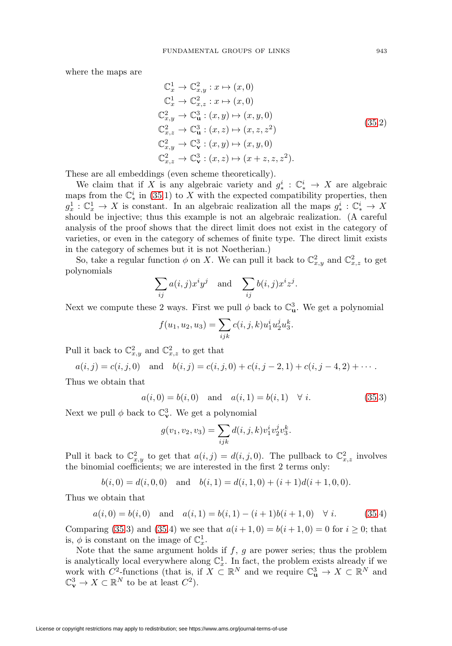where the maps are

$$
\mathbb{C}_{x}^{1} \rightarrow \mathbb{C}_{x,y}^{2}: x \mapsto (x,0)
$$
  
\n
$$
\mathbb{C}_{x}^{1} \rightarrow \mathbb{C}_{x,z}^{2}: x \mapsto (x,0)
$$
  
\n
$$
\mathbb{C}_{x,y}^{2} \rightarrow \mathbb{C}_{\mathbf{u}}^{3}: (x,y) \mapsto (x,y,0)
$$
  
\n
$$
\mathbb{C}_{x,z}^{2} \rightarrow \mathbb{C}_{\mathbf{u}}^{3}: (x,z) \mapsto (x,z,z^{2})
$$
  
\n
$$
\mathbb{C}_{x,y}^{2} \rightarrow \mathbb{C}_{\mathbf{v}}^{3}: (x,y) \mapsto (x,y,0)
$$
  
\n
$$
\mathbb{C}_{x,z}^{2} \rightarrow \mathbb{C}_{\mathbf{v}}^{3}: (x,z) \mapsto (x+z,z,z^{2}).
$$
  
\n(35.2)

These are all embeddings (even scheme theoretically).

We claim that if X is any algebraic variety and  $g^i_* : \mathbb{C}^i_* \to X$  are algebraic maps from the  $\mathbb{C}_{*}^{i}$  in [\(35.](#page-13-0)1) to X with the expected compatibility properties, then  $g_x^1 : \mathbb{C}_x^1 \to X$  is constant. In an algebraic realization all the maps  $g_*^i : \mathbb{C}_*^i \to X$ should be injective; thus this example is not an algebraic realization. (A careful analysis of the proof shows that the direct limit does not exist in the category of varieties, or even in the category of schemes of finite type. The direct limit exists in the category of schemes but it is not Noetherian.)

So, take a regular function  $\phi$  on X. We can pull it back to  $\mathbb{C}^2_{x,y}$  and  $\mathbb{C}^2_{x,z}$  to get polynomials

$$
\sum_{ij} a(i,j) x^i y^j \quad \text{and} \quad \sum_{ij} b(i,j) x^i z^j.
$$

Next we compute these 2 ways. First we pull  $\phi$  back to  $\mathbb{C}^3_{\mathbf{u}}$ . We get a polynomial

$$
f(u_1, u_2, u_3) = \sum_{ijk} c(i, j, k) u_1^i u_2^j u_3^k.
$$

Pull it back to  $\mathbb{C}^2_{x,y}$  and  $\mathbb{C}^2_{x,z}$  to get that

$$
a(i, j) = c(i, j, 0)
$$
 and  $b(i, j) = c(i, j, 0) + c(i, j - 2, 1) + c(i, j - 4, 2) + \cdots$ .

Thus we obtain that

$$
a(i,0) = b(i,0)
$$
 and  $a(i,1) = b(i,1)$   $\forall i.$  (35.3)

Next we pull  $\phi$  back to  $\mathbb{C}_{\mathbf{v}}^3$ . We get a polynomial

$$
g(v_1, v_2, v_3) = \sum_{ijk} d(i, j, k) v_1^i v_2^j v_3^k.
$$

Pull it back to  $\mathbb{C}^2_{x,y}$  to get that  $a(i,j) = d(i,j,0)$ . The pullback to  $\mathbb{C}^2_{x,z}$  involves the binomial coefficients; we are interested in the first 2 terms only:

$$
b(i, 0) = d(i, 0, 0)
$$
 and  $b(i, 1) = d(i, 1, 0) + (i + 1)d(i + 1, 0, 0).$ 

Thus we obtain that

$$
a(i,0) = b(i,0)
$$
 and  $a(i,1) = b(i,1) - (i+1)b(i+1,0)$   $\forall i.$  (35.4)

Comparing [\(35.](#page-13-0)3) and (35.4) we see that  $a(i + 1, 0) = b(i + 1, 0) = 0$  for  $i \ge 0$ ; that is,  $\phi$  is constant on the image of  $\mathbb{C}_x^1$ .

Note that the same argument holds if  $f, g$  are power series; thus the problem is analytically local everywhere along  $\mathbb{C}_x^1$ . In fact, the problem exists already if we work with  $C^2$ -functions (that is, if  $X \subset \mathbb{R}^N$  and we require  $\mathbb{C}^3_{\mathbf{u}} \to X \subset \mathbb{R}^N$  and  $\mathbb{C}_{\mathbf{v}}^3 \to X \subset \mathbb{R}^N$  to be at least  $C^2$ ).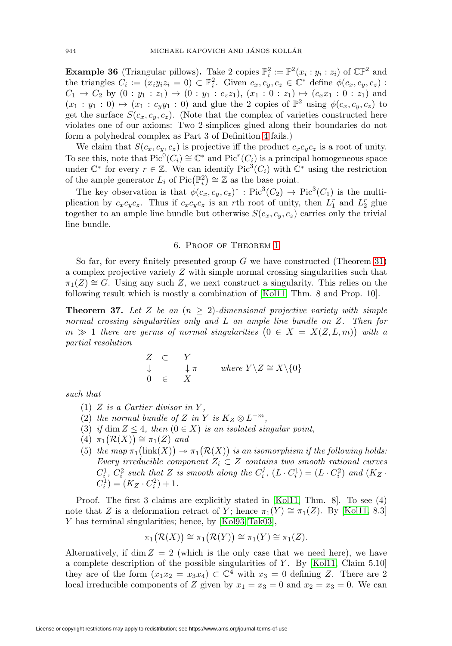<span id="page-15-0"></span>**Example 36** (Triangular pillows). Take 2 copies  $\mathbb{P}_i^2 := \mathbb{P}^2(x_i : y_i : z_i)$  of  $\mathbb{CP}^2$  and the triangles  $C_i := (x_i y_i z_i = 0) \subset \mathbb{P}^2_i$ . Given  $c_x, c_y, c_z \in \mathbb{C}^*$  define  $\phi(c_x, c_y, c_z)$ :  $C_1 \rightarrow C_2$  by  $(0:y_1:z_1) \mapsto (0:y_1:c_zz_1), (x_1:0:z_1) \mapsto (c_xx_1:0:z_1)$  and  $(x_1 : y_1 : 0) \mapsto (x_1 : c_y y_1 : 0)$  and glue the 2 copies of  $\mathbb{P}^2$  using  $\phi(c_x, c_y, c_z)$  to get the surface  $S(c_x, c_y, c_z)$ . (Note that the complex of varieties constructed here violates one of our axioms: Two 2-simplices glued along their boundaries do not form a polyhedral complex as Part 3 of Definition [4](#page-2-0) fails.)

We claim that  $S(c_x, c_y, c_z)$  is projective iff the product  $c_x c_y c_z$  is a root of unity. To see this, note that  $Pic^0(C_i) \cong \mathbb{C}^*$  and  $Pic^r(C_i)$  is a principal homogeneous space under  $\mathbb{C}^*$  for every  $r \in \mathbb{Z}$ . We can identify Pic<sup>3</sup>( $C_i$ ) with  $\mathbb{C}^*$  using the restriction of the ample generator  $L_i$  of  $Pic(\mathbb{P}_i^2) \cong \mathbb{Z}$  as the base point.

The key observation is that  $\phi(c_x, c_y, c_z)^*$ : Pic<sup>3</sup>(C<sub>2</sub>) → Pic<sup>3</sup>(C<sub>1</sub>) is the multiplication by  $c_x c_y c_z$ . Thus if  $c_x c_y c_z$  is an rth root of unity, then  $L_1^r$  and  $L_2^r$  glue together to an ample line bundle but otherwise  $S(c_x, c_y, c_z)$  carries only the trivial line bundle.

#### 6. Proof of Theorem [1](#page-0-0)

So far, for every finitely presented group  $G$  we have constructed (Theorem [31\)](#page-11-3) a complex projective variety Z with simple normal crossing singularities such that  $\pi_1(Z) \cong G$ . Using any such Z, we next construct a singularity. This relies on the following result which is mostly a combination of [\[Kol11,](#page-23-5) Thm. 8 and Prop. 10].

<span id="page-15-1"></span>**Theorem 37.** Let Z be an  $(n \geq 2)$ -dimensional projective variety with simple normal crossing singularities only and L an ample line bundle on Z. Then for  $m \gg 1$  there are germs of normal singularities  $(0 \in X = X(Z, L, m))$  with a partial resolution

$$
\begin{array}{ccc}\nZ & \subset & Y \\
\downarrow & & \downarrow \pi & \text{where } Y \setminus Z \cong X \setminus \{0\} \\
0 & \in & X\n\end{array}
$$

such that

- (1)  $Z$  is a Cartier divisor in  $Y$ ,
- (2) the normal bundle of Z in Y is  $K_Z \otimes L^{-m}$ ,
- (3) if dim  $Z \leq 4$ , then  $(0 \in X)$  is an isolated singular point,
- $(4) \ \pi_1(\mathcal{R}(X)) \cong \pi_1(Z) \text{ and}$
- (5) the map  $\pi_1(\text{link}(X)) \twoheadrightarrow \pi_1(\mathcal{R}(X))$  is an isomorphism if the following holds: Every irreducible component  $Z_i \subset Z$  contains two smooth rational curves  $C_i^1$ ,  $C_i^2$  such that Z is smooth along the  $C_i^j$ ,  $(L \cdot C_i^1) = (L \cdot C_i^2)$  and  $(K_Z \cdot C_i^1)$  $C_i^1$  =  $(K_Z \cdot C_i^2) + 1$ .

Proof. The first 3 claims are explicitly stated in [\[Kol11,](#page-23-5) Thm. 8]. To see (4) note that Z is a deformation retract of Y; hence  $\pi_1(Y) \cong \pi_1(Z)$ . By [\[Kol11,](#page-23-5) 8.3] Y has terminal singularities; hence, by [\[Kol93,](#page-23-1) [Tak03\]](#page-23-2),

$$
\pi_1(\mathcal{R}(X)) \cong \pi_1(\mathcal{R}(Y)) \cong \pi_1(Y) \cong \pi_1(Z).
$$

Alternatively, if  $\dim Z = 2$  (which is the only case that we need here), we have a complete description of the possible singularities of  $Y$ . By [\[Kol11,](#page-23-5) Claim 5.10] they are of the form  $(x_1x_2 = x_3x_4) \subset \mathbb{C}^4$  with  $x_3 = 0$  defining Z. There are 2 local irreducible components of Z given by  $x_1 = x_3 = 0$  and  $x_2 = x_3 = 0$ . We can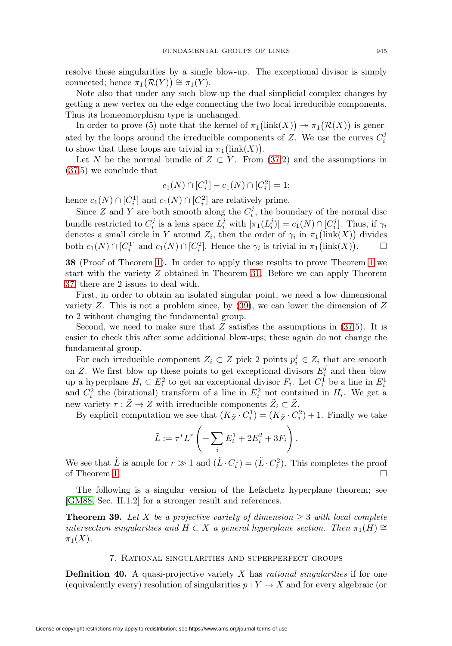resolve these singularities by a single blow-up. The exceptional divisor is simply connected; hence  $\pi_1(\mathcal{R}(Y)) \cong \pi_1(Y)$ .

Note also that under any such blow-up the dual simplicial complex changes by getting a new vertex on the edge connecting the two local irreducible components. Thus its homeomorphism type is unchanged.

In order to prove (5) note that the kernel of  $\pi_1(\text{link}(X)) \twoheadrightarrow \pi_1(\mathcal{R}(X))$  is generated by the loops around the irreducible components of  $Z$ . We use the curves  $C_i^j$ to show that these loops are trivial in  $\pi_1(\text{link}(X)).$ 

Let N be the normal bundle of  $Z \subset Y$ . From [\(37.](#page-15-1)2) and the assumptions in [\(37.](#page-15-1)5) we conclude that

$$
c_1(N) \cap [C_i^1] - c_1(N) \cap [C_i^2] = 1;
$$

hence  $c_1(N) \cap [C_i^1]$  and  $c_1(N) \cap [C_i^2]$  are relatively prime.

Since Z and Y are both smooth along the  $C_i^j$ , the boundary of the normal disc bundle restricted to  $C_i^j$  is a lens space  $L_i^j$  with  $|\pi_1(L_i^j)| = c_1(N) \cap [C_i^j]$ . Thus, if  $\gamma_i$ denotes a small circle in Y around  $Z_i$ , then the order of  $\gamma_i$  in  $\pi_1(\text{link}(X))$  divides both  $c_1(N) \cap [C_i^1]$  and  $c_1(N) \cap [C_i^2]$ . Hence the  $\gamma_i$  is trivial in  $\pi_1(\text{link}(X))$  $\Box$ 

<span id="page-16-3"></span>**38** (Proof of Theorem [1\)](#page-0-0)**.** In order to apply these results to prove Theorem [1](#page-0-0) we start with the variety Z obtained in Theorem [31.](#page-11-3) Before we can apply Theorem [37,](#page-15-1) there are 2 issues to deal with.

First, in order to obtain an isolated singular point, we need a low dimensional variety  $Z$ . This is not a problem since, by  $(39)$ , we can lower the dimension of  $Z$ to 2 without changing the fundamental group.

Second, we need to make sure that  $Z$  satisfies the assumptions in  $(37.5)$  $(37.5)$ . It is easier to check this after some additional blow-ups; these again do not change the fundamental group.

For each irreducible component  $Z_i \subset Z$  pick 2 points  $p_i^j \in Z_i$  that are smooth on Z. We first blow up these points to get exceptional divisors  $E_i^j$  and then blow up a hyperplane  $H_i \subset E_i^2$  to get an exceptional divisor  $F_i$ . Let  $C_i^1$  be a line in  $E_i^1$  and  $C_i^2$  the (birational) transform of a line in  $E_i^2$  not contained in  $H_i$ . We get a new variety  $\tau : \tilde{Z} \to Z$  with irreducible components  $\tilde{Z}_i \subset \tilde{Z}$ .

By explicit computation we see that  $(K_{\tilde{Z}} \cdot C_i^1) = (K_{\tilde{Z}} \cdot C_i^2) + 1$ . Finally we take

$$
\tilde{L}:=\tau^*L^r\left(-\sum_iE_i^1+2E_i^2+3F_i\right).
$$

We see that  $\tilde{L}$  is ample for  $r \gg 1$  and  $(\tilde{L} \cdot C_i^1) = (\tilde{L} \cdot C_i^2)$ . This completes the proof of Theorem [1.](#page-0-0)

The following is a singular version of the Lefschetz hyperplane theorem; see [\[GM88,](#page-22-1) Sec. II.1.2] for a stronger result and references.

<span id="page-16-2"></span>**Theorem 39.** Let X be a projective variety of dimension  $\geq 3$  with local complete intersection singularities and  $H \subset X$  a general hyperplane section. Then  $\pi_1(H) \cong$  $\pi_1(X)$ .

#### 7. Rational singularities and superperfect groups

<span id="page-16-1"></span><span id="page-16-0"></span>**Definition 40.** A quasi-projective variety X has *rational singularities* if for one (equivalently every) resolution of singularities  $p: Y \to X$  and for every algebraic (or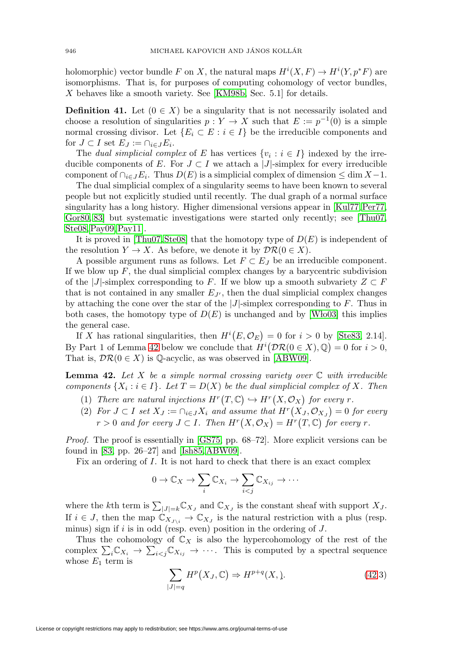holomorphic) vector bundle F on X, the natural maps  $H^{i}(X, F) \to H^{i}(Y, p^*F)$  are isomorphisms. That is, for purposes of computing cohomology of vector bundles, X behaves like a smooth variety. See [\[KM98b,](#page-22-11) Sec. 5.1] for details.

<span id="page-17-0"></span>**Definition 41.** Let  $(0 \in X)$  be a singularity that is not necessarily isolated and choose a resolution of singularities  $p : Y \to X$  such that  $E := p^{-1}(0)$  is a simple normal crossing divisor. Let  ${E_i \subset E : i \in I}$  be the irreducible components and for  $J \subset I$  set  $E_J := \bigcap_{i \in J} E_i$ .

The dual simplicial complex of E has vertices  $\{v_i : i \in I\}$  indexed by the irreducible components of E. For  $J \subset I$  we attach a |J|-simplex for every irreducible component of  $\cap_{i\in J}E_i$ . Thus  $D(E)$  is a simplicial complex of dimension  $\leq \dim X - 1$ .

The dual simplicial complex of a singularity seems to have been known to several people but not explicitly studied until recently. The dual graph of a normal surface singularity has a long history. Higher dimensional versions appear in [\[Kul77,](#page-23-8) [Per77,](#page-23-9) [Gor80,](#page-22-12) [83\]](#page-22-13) but systematic investigations were started only recently; see [\[Thu07,](#page-23-10) [Ste08,](#page-23-11)[Pay09,](#page-23-12)[Pay11\]](#page-23-13).

It is proved in  $[Thu07, Ste08]$  $[Thu07, Ste08]$  that the homotopy type of  $D(E)$  is independent of the resolution  $Y \to X$ . As before, we denote it by  $\mathcal{DR}(0 \in X)$ .

A possible argument runs as follows. Let  $F \subset E_J$  be an irreducible component. If we blow up  $F$ , the dual simplicial complex changes by a barycentric subdivision of the |J|-simplex corresponding to F. If we blow up a smooth subvariety  $Z \subset F$ that is not contained in any smaller  $E_{J'}$ , then the dual simplicial complex changes by attaching the cone over the star of the  $|J|$ -simplex corresponding to F. Thus in both cases, the homotopy type of  $D(E)$  is unchanged and by [Wło03] this implies the general case.

If X has rational singularities, then  $H^{i}(E, \mathcal{O}_{E}) = 0$  for  $i > 0$  by [\[Ste83,](#page-23-15) 2.14]. By Part 1 of Lemma [42](#page-17-1) below we conclude that  $H^i(\mathcal{DR}(0 \in X), \mathbb{Q}) = 0$  for  $i > 0$ , That is,  $\mathcal{DR}(0 \in X)$  is Q-acyclic, as was observed in [\[ABW09\]](#page-21-8).

<span id="page-17-1"></span>**Lemma 42.** Let X be a simple normal crossing variety over  $\mathbb C$  with irreducible components  $\{X_i : i \in I\}$ . Let  $T = D(X)$  be the dual simplicial complex of X. Then

- (1) There are natural injections  $H^r(T, \mathbb{C}) \hookrightarrow H^r(X, \mathcal{O}_X)$  for every r.
- (2) For  $J \subset I$  set  $X_J := \bigcap_{i \in J} X_i$  and assume that  $H^r(X_J, \mathcal{O}_{X_J}) = 0$  for every  $r > 0$  and for every  $J \subset I$ . Then  $H^r(X, \mathcal{O}_X) = H^r(T, \mathbb{C})$  for every r.

Proof. The proof is essentially in [\[GS75,](#page-22-14) pp. 68–72]. More explicit versions can be found in [\[83,](#page-22-13) pp. 26–27] and [\[Ish85,](#page-22-15) [ABW09\]](#page-21-8).

Fix an ordering of I. It is not hard to check that there is an exact complex

$$
0 \to \mathbb{C}_X \to \sum_i \mathbb{C}_{X_i} \to \sum_{i < j} \mathbb{C}_{X_{ij}} \to \cdots
$$

where the kth term is  $\sum_{|J|=k} \mathbb{C}_{X_J}$  and  $\mathbb{C}_{X_J}$  is the constant sheaf with support  $X_J$ . If  $i \in J$ , then the map  $\mathbb{C}_{X_{J\setminus i}} \to \mathbb{C}_{X_J}$  is the natural restriction with a plus (resp. minus) sign if  $i$  is in odd (resp. even) position in the ordering of  $J$ .

Thus the cohomology of  $\mathbb{C}_X$  is also the hypercohomology of the rest of the complex  $\sum_i \mathbb{C}_{X_i} \to \sum_{i < j} \mathbb{C}_{X_{ij}} \to \cdots$ . This is computed by a spectral sequence whose  $E_1$  term is

$$
\sum_{|J|=q} H^p(X_J, \mathbb{C}) \Rightarrow H^{p+q}(X, \mathbf{).} \tag{42.3}
$$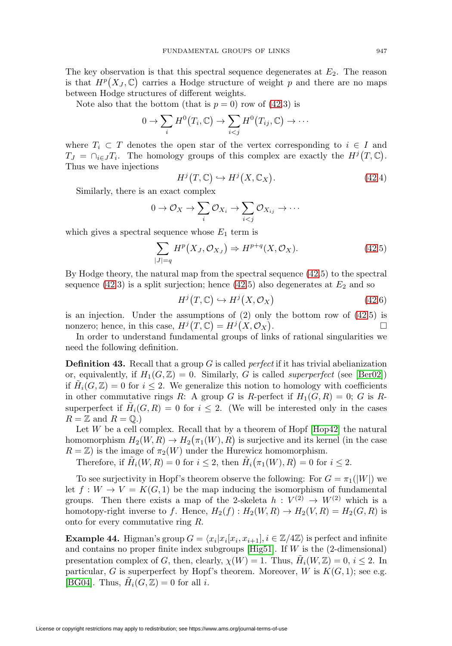The key observation is that this spectral sequence degenerates at  $E_2$ . The reason is that  $H^p(X_J, \mathbb{C})$  carries a Hodge structure of weight p and there are no maps between Hodge structures of different weights.

Note also that the bottom (that is  $p = 0$ ) row of [\(42.](#page-17-1)3) is

$$
0 \to \sum_i H^0(T_i, \mathbb{C}) \to \sum_{i < j} H^0(T_{ij}, \mathbb{C}) \to \cdots
$$

where  $T_i \subset T$  denotes the open star of the vertex corresponding to  $i \in I$  and  $T_J = \bigcap_{i \in J} T_i$ . The homology groups of this complex are exactly the  $H^j(T, \mathbb{C})$ . Thus we have injections

$$
H^{j}(T,\mathbb{C}) \hookrightarrow H^{j}(X,\mathbb{C}_{X}). \tag{42.4}
$$

Similarly, there is an exact complex

$$
0 \to \mathcal{O}_X \to \sum_i \mathcal{O}_{X_i} \to \sum_{i < j} \mathcal{O}_{X_{ij}} \to \cdots
$$

which gives a spectral sequence whose  $E_1$  term is

$$
\sum_{|J|=q} H^p(X_J, \mathcal{O}_{X_J}) \Rightarrow H^{p+q}(X, \mathcal{O}_X). \tag{42.5}
$$

By Hodge theory, the natural map from the spectral sequence [\(42.](#page-17-1)5) to the spectral sequence [\(42.](#page-17-1)3) is a split surjection; hence (42.5) also degenerates at  $E_2$  and so

$$
H^{j}(T,\mathbb{C}) \hookrightarrow H^{j}(X,\mathcal{O}_X)
$$
\n
$$
(42.6)
$$

is an injection. Under the assumptions of (2) only the bottom row of [\(42.](#page-17-1)5) is nonzero; hence, in this case,  $H^j(T, \mathbb{C}) = H^j(X, \mathcal{O}_X)$ .

In order to understand fundamental groups of links of rational singularities we need the following definition.

**Definition 43.** Recall that a group G is called *perfect* if it has trivial abelianization or, equivalently, if  $H_1(G,\mathbb{Z})=0$ . Similarly, G is called *superperfect* (see [\[Ber02\]](#page-21-9)) if  $H_i(G, \mathbb{Z}) = 0$  for  $i \leq 2$ . We generalize this notion to homology with coefficients in other commutative rings R: A group G is R-perfect if  $H_1(G, R) = 0$ ; G is Rsuperperfect if  $H_i(G, R) = 0$  for  $i \leq 2$ . (We will be interested only in the cases  $R = \mathbb{Z}$  and  $R = \mathbb{Q}$ .)

Let  $W$  be a cell complex. Recall that by a theorem of Hopf  $[Hop42]$  the natural homomorphism  $H_2(W, R) \to H_2(\pi_1(W), R)$  is surjective and its kernel (in the case  $R = \mathbb{Z}$ ) is the image of  $\pi_2(W)$  under the Hurewicz homomorphism.

Therefore, if  $\tilde{H}_i(W, R) = 0$  for  $i \leq 2$ , then  $\tilde{H}_i(\pi_1(W), R) = 0$  for  $i \leq 2$ .

To see surjectivity in Hopf's theorem observe the following: For  $G = \pi_1(|W|)$  we let  $f: W \to V = K(G, 1)$  be the map inducing the isomorphism of fundamental groups. Then there exists a map of the 2-skeleta  $h: V^{(2)} \to W^{(2)}$  which is a homotopy-right inverse to f. Hence,  $H_2(f) : H_2(W, R) \to H_2(V, R) = H_2(G, R)$  is onto for every commutative ring R.

<span id="page-18-0"></span>**Example 44.** Higman's group  $G = \langle x_i | x_i | x_i, x_{i+1} \rangle, i \in \mathbb{Z}/4\mathbb{Z} \rangle$  is perfect and infinite and contains no proper finite index subgroups [\[Hig51\]](#page-22-17). If  $W$  is the (2-dimensional) presentation complex of G, then, clearly,  $\chi(W) = 1$ . Thus,  $H_i(W, Z) = 0$ ,  $i \leq 2$ . In particular, G is superperfect by Hopf's theorem. Moreover, W is  $K(G, 1)$ ; see e.g. [\[BG04\]](#page-21-10). Thus,  $H_i(G, \mathbb{Z}) = 0$  for all i.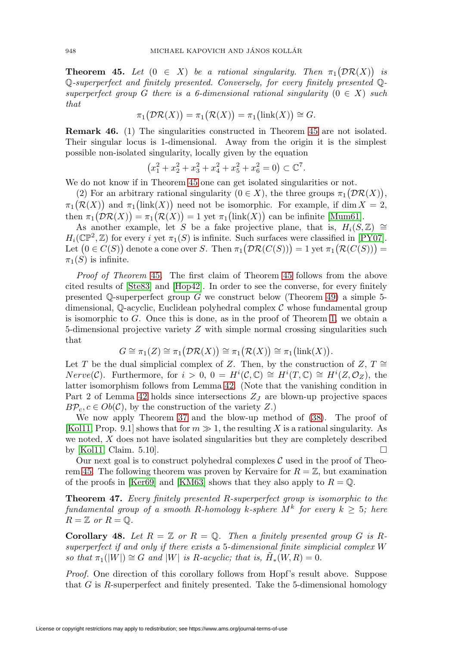<span id="page-19-0"></span>**Theorem 45.** Let  $(0 \in X)$  be a rational singularity. Then  $\pi_1(\mathcal{DR}(X))$  is Q-superperfect and finitely presented. Conversely, for every finitely presented Qsuperperfect group G there is a 6-dimensional rational singularity  $(0 \in X)$  such that

$$
\pi_1(\mathcal{DR}(X)) = \pi_1(\mathcal{R}(X)) = \pi_1(\text{link}(X)) \cong G.
$$

**Remark 46.** (1) The singularities constructed in Theorem [45](#page-19-0) are not isolated. Their singular locus is 1-dimensional. Away from the origin it is the simplest possible non-isolated singularity, locally given by the equation

$$
(x_1^2 + x_2^2 + x_3^2 + x_4^2 + x_5^2 + x_6^2 = 0) \subset \mathbb{C}^7.
$$

We do not know if in Theorem [45](#page-19-0) one can get isolated singularities or not.

(2) For an arbitrary rational singularity  $(0 \in X)$ , the three groups  $\pi_1(\mathcal{DR}(X)),$  $\pi_1(\mathcal{R}(X))$  and  $\pi_1(\text{link}(X))$  need not be isomorphic. For example, if dim  $X = 2$ , then  $\pi_1(\mathcal{DR}(X)) = \pi_1(\mathcal{R}(X)) = 1$  yet  $\pi_1(\text{link}(X))$  can be infinite [\[Mum61\]](#page-23-3).

As another example, let S be a fake projective plane, that is,  $H_i(S, \mathbb{Z}) \cong$  $H_i(\mathbb{CP}^2, \mathbb{Z})$  for every i yet  $\pi_1(S)$  is infinite. Such surfaces were classified in [\[PY07\]](#page-23-16). Let  $(0 \in C(S))$  denote a cone over S. Then  $\pi_1(\mathcal{DR}(C(S))) = 1$  yet  $\pi_1(\mathcal{R}(C(S))) = 1$  $\pi_1(S)$  is infinite.

Proof of Theorem [45](#page-19-0). The first claim of Theorem [45](#page-19-0) follows from the above cited results of [\[Ste83\]](#page-23-15) and [\[Hop42\]](#page-22-16). In order to see the converse, for every finitely presented  $\mathbb Q$ -superperfect group G we construct below (Theorem [49\)](#page-20-0) a simple 5dimensional,  $\mathbb{Q}$ -acyclic, Euclidean polyhedral complex  $\mathcal C$  whose fundamental group is isomorphic to G. Once this is done, as in the proof of Theorem [1,](#page-0-0) we obtain a 5-dimensional projective variety Z with simple normal crossing singularities such that

$$
G \cong \pi_1(Z) \cong \pi_1(\mathcal{DR}(X)) \cong \pi_1(\mathcal{R}(X)) \cong \pi_1(\mathrm{link}(X)).
$$

Let T be the dual simplicial complex of Z. Then, by the construction of  $Z, T \cong$  $Nerve(\mathcal{C})$ . Furthermore, for  $i > 0$ ,  $0 = H^{i}(\mathcal{C}, \mathbb{C}) \cong H^{i}(T, \mathbb{C}) \cong H^{i}(Z, \mathcal{O}_{Z})$ , the latter isomorphism follows from Lemma [42.](#page-17-1) (Note that the vanishing condition in Part 2 of Lemma [42](#page-17-1) holds since intersections  $Z_J$  are blown-up projective spaces  $B\mathcal{P}_c, c \in Ob(\mathcal{C})$ , by the construction of the variety Z.)

We now apply Theorem [37](#page-15-1) and the blow-up method of [\(38\)](#page-16-3). The proof of [\[Kol11,](#page-23-5) Prop. 9.1] shows that for  $m \gg 1$ , the resulting X is a rational singularity. As we noted, X does not have isolated singularities but they are completely described by [\[Kol11,](#page-23-5) Claim. 5.10].

Our next goal is to construct polyhedral complexes  $\mathcal C$  used in the proof of Theo-rem [45.](#page-19-0) The following theorem was proven by Kervaire for  $R = \mathbb{Z}$ , but examination of the proofs in [\[Ker69\]](#page-22-18) and [\[KM63\]](#page-22-7) shows that they also apply to  $R = \mathbb{Q}$ .

<span id="page-19-1"></span>**Theorem 47.** Every finitely presented R-superperfect group is isomorphic to the fundamental group of a smooth R-homology k-sphere  $M^k$  for every  $k \geq 5$ ; here  $R = \mathbb{Z}$  or  $R = \mathbb{Q}$ .

<span id="page-19-2"></span>**Corollary 48.** Let  $R = \mathbb{Z}$  or  $R = \mathbb{Q}$ . Then a finitely presented group G is Rsuperperfect if and only if there exists a 5-dimensional finite simplicial complex W so that  $\pi_1(|W|) \cong G$  and |W| is R-acyclic; that is,  $H_*(W, R) = 0$ .

Proof. One direction of this corollary follows from Hopf's result above. Suppose that G is R-superperfect and finitely presented. Take the 5-dimensional homology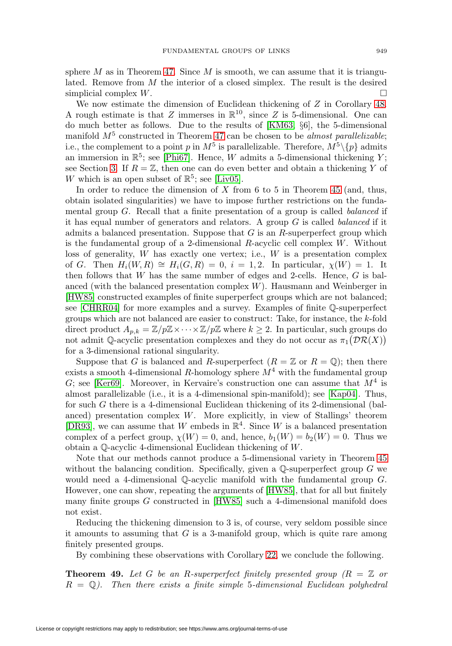sphere M as in Theorem [47.](#page-19-1) Since M is smooth, we can assume that it is triangulated. Remove from  $M$  the interior of a closed simplex. The result is the desired simplicial complex  $W$ .

We now estimate the dimension of Euclidean thickening of  $Z$  in Corollary [48.](#page-19-2) A rough estimate is that Z immerses in  $\mathbb{R}^{10}$ , since Z is 5-dimensional. One can do much better as follows. Due to the results of [\[KM63,](#page-22-7) §6], the 5-dimensional manifold  $M^5$  constructed in Theorem [47](#page-19-1) can be chosen to be *almost parallelizable*; i.e., the complement to a point p in  $M^5$  is parallelizable. Therefore,  $M^5\backslash\{p\}$  admits an immersion in  $\mathbb{R}^5$ ; see [\[Phi67\]](#page-23-17). Hence, W admits a 5-dimensional thickening Y; see Section [3.](#page-6-2) If  $R = \mathbb{Z}$ , then one can do even better and obtain a thickening Y of W which is an open subset of  $\mathbb{R}^5$ ; see [\[Liv05\]](#page-23-18).

In order to reduce the dimension of  $X$  from 6 to 5 in Theorem [45](#page-19-0) (and, thus, obtain isolated singularities) we have to impose further restrictions on the fundamental group G. Recall that a finite presentation of a group is called balanced if it has equal number of generators and relators. A group  $G$  is called *balanced* if it admits a balanced presentation. Suppose that  $G$  is an  $R$ -superperfect group which is the fundamental group of a 2-dimensional  $R$ -acyclic cell complex  $W$ . Without loss of generality,  $W$  has exactly one vertex; i.e.,  $W$  is a presentation complex of G. Then  $H_i(W, R) \cong H_i(G, R) = 0$ ,  $i = 1, 2$ . In particular,  $\chi(W) = 1$ . It then follows that  $W$  has the same number of edges and 2-cells. Hence,  $G$  is balanced (with the balanced presentation complex  $W$ ). Hausmann and Weinberger in [\[HW85\]](#page-22-19) constructed examples of finite superperfect groups which are not balanced; see [\[CHRR04\]](#page-21-11) for more examples and a survey. Examples of finite Q-superperfect groups which are not balanced are easier to construct: Take, for instance, the k-fold direct product  $A_{p,k} = \mathbb{Z}/p\mathbb{Z} \times \cdots \times \mathbb{Z}/p\mathbb{Z}$  where  $k \geq 2$ . In particular, such groups do not admit Q-acyclic presentation complexes and they do not occur as  $\pi_1(\mathcal{DR}(X))$ for a 3-dimensional rational singularity.

Suppose that G is balanced and R-superperfect  $(R = \mathbb{Z}$  or  $R = \mathbb{Q})$ ; then there exists a smooth 4-dimensional R-homology sphere  $M<sup>4</sup>$  with the fundamental group G; see [\[Ker69\]](#page-22-18). Moreover, in Kervaire's construction one can assume that  $M<sup>4</sup>$  is almost parallelizable (i.e., it is a 4-dimensional spin-manifold); see [\[Kap04\]](#page-22-20). Thus, for such G there is a 4-dimensional Euclidean thickening of its 2-dimensional (balanced) presentation complex  $W$ . More explicitly, in view of Stallings' theorem [\[DR93\]](#page-22-8), we can assume that W embeds in  $\mathbb{R}^4$ . Since W is a balanced presentation complex of a perfect group,  $\chi(W) = 0$ , and, hence,  $b_1(W) = b_2(W) = 0$ . Thus we obtain a Q-acyclic 4-dimensional Euclidean thickening of W.

Note that our methods cannot produce a 5-dimensional variety in Theorem [45](#page-19-0) without the balancing condition. Specifically, given a  $\mathbb Q$ -superperfect group  $G$  we would need a 4-dimensional Q-acyclic manifold with the fundamental group G. However, one can show, repeating the arguments of [\[HW85\]](#page-22-19), that for all but finitely many finite groups  $G$  constructed in  $[HWS]$  such a 4-dimensional manifold does not exist.

Reducing the thickening dimension to 3 is, of course, very seldom possible since it amounts to assuming that  $G$  is a 3-manifold group, which is quite rare among finitely presented groups.

By combining these observations with Corollary [22,](#page-7-0) we conclude the following.

<span id="page-20-0"></span>**Theorem 49.** Let G be an R-superperfect finitely presented group  $(R = \mathbb{Z}$  or  $R = \mathbb{Q}$ . Then there exists a finite simple 5-dimensional Euclidean polyhedral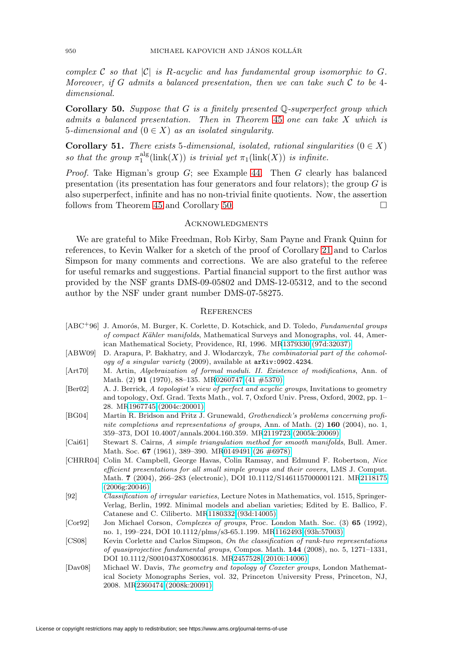complex C so that  $|\mathcal{C}|$  is R-acyclic and has fundamental group isomorphic to G. Moreover, if G admits a balanced presentation, then we can take such  $\mathcal C$  to be 4dimensional.

<span id="page-21-12"></span>**Corollary 50.** Suppose that G is a finitely presented Q-superperfect group which admits a balanced presentation. Then in Theorem [45](#page-19-0) one can take X which is 5-dimensional and  $(0 \in X)$  as an isolated singularity.

<span id="page-21-3"></span>**Corollary 51.** There exists 5-dimensional, isolated, rational singularities  $(0 \in X)$ so that the group  $\pi_1^{\text{alg}}(\text{link}(X))$  is trivial yet  $\pi_1(\text{link}(X))$  is infinite.

*Proof.* Take Higman's group  $G$ ; see Example [44.](#page-18-0) Then  $G$  clearly has balanced presentation (its presentation has four generators and four relators); the group  $G$  is also superperfect, infinite and has no non-trivial finite quotients. Now, the assertion follows from Theorem [45](#page-19-0) and Corollary [50.](#page-21-12)

#### **ACKNOWLEDGMENTS**

We are grateful to Mike Freedman, Rob Kirby, Sam Payne and Frank Quinn for references, to Kevin Walker for a sketch of the proof of Corollary [21](#page-6-3) and to Carlos Simpson for many comments and corrections. We are also grateful to the referee for useful remarks and suggestions. Partial financial support to the first author was provided by the NSF grants DMS-09-05802 and DMS-12-05312, and to the second author by the NSF under grant number DMS-07-58275.

#### **REFERENCES**

- <span id="page-21-0"></span>[ABC<sup>+96</sup>] J. Amorós, M. Burger, K. Corlette, D. Kotschick, and D. Toledo, *Fundamental groups* of compact K¨ahler manifolds, Mathematical Surveys and Monographs, vol. 44, American Mathematical Society, Providence, RI, 1996. M[R1379330 \(97d:32037\)](http://www.ams.org/mathscinet-getitem?mr=1379330)
- <span id="page-21-8"></span>[ABW09] D. Arapura, P. Bakhatry, and J. Włodarczyk, The combinatorial part of the cohomology of a singular variety (2009), available at <arXiv:0902.4234>.
- <span id="page-21-7"></span>[Art70] M. Artin, Algebraization of formal moduli. II. Existence of modifications, Ann. of Math. (2) **91** (1970), 88–135. M[R0260747 \(41 #5370\)](http://www.ams.org/mathscinet-getitem?mr=0260747)
- <span id="page-21-9"></span>[Ber02] A. J. Berrick, A topologist's view of perfect and acyclic groups, Invitations to geometry and topology, Oxf. Grad. Texts Math., vol. 7, Oxford Univ. Press, Oxford, 2002, pp. 1– 28. M[R1967745 \(2004c:20001\)](http://www.ams.org/mathscinet-getitem?mr=1967745)
- <span id="page-21-10"></span>[BG04] Martin R. Bridson and Fritz J. Grunewald, Grothendieck's problems concerning profinite completions and representations of groups, Ann. of Math. (2) **160** (2004), no. 1, 359–373, DOI 10.4007/annals.2004.160.359. M[R2119723 \(2005k:20069\)](http://www.ams.org/mathscinet-getitem?mr=2119723)
- <span id="page-21-5"></span>[Cai61] Stewart S. Cairns, A simple triangulation method for smooth manifolds, Bull. Amer. Math. Soc. **67** (1961), 389–390. M[R0149491 \(26 #6978\)](http://www.ams.org/mathscinet-getitem?mr=0149491)
- <span id="page-21-11"></span>[CHRR04] Colin M. Campbell, George Havas, Colin Ramsay, and Edmund F. Robertson, Nice efficient presentations for all small simple groups and their covers, LMS J. Comput. Math. **7** (2004), 266–283 (electronic), DOI 10.1112/S1461157000001121. M[R2118175](http://www.ams.org/mathscinet-getitem?mr=2118175) [\(2006g:20046\)](http://www.ams.org/mathscinet-getitem?mr=2118175)
- <span id="page-21-2"></span>[92] Classification of irregular varieties, Lecture Notes in Mathematics, vol. 1515, Springer-Verlag, Berlin, 1992. Minimal models and abelian varieties; Edited by E. Ballico, F. Catanese and C. Ciliberto. M[R1180332 \(93d:14005\)](http://www.ams.org/mathscinet-getitem?mr=1180332)
- <span id="page-21-6"></span>[Cor92] Jon Michael Corson, Complexes of groups, Proc. London Math. Soc. (3) **65** (1992), no. 1, 199–224, DOI 10.1112/plms/s3-65.1.199. M[R1162493 \(93h:57003\)](http://www.ams.org/mathscinet-getitem?mr=1162493)
- <span id="page-21-1"></span>[CS08] Kevin Corlette and Carlos Simpson, On the classification of rank-two representations of quasiprojective fundamental groups, Compos. Math. **144** (2008), no. 5, 1271–1331, DOI 10.1112/S0010437X08003618. M[R2457528 \(2010i:14006\)](http://www.ams.org/mathscinet-getitem?mr=2457528)
- <span id="page-21-4"></span>[Dav08] Michael W. Davis, The geometry and topology of Coxeter groups, London Mathematical Society Monographs Series, vol. 32, Princeton University Press, Princeton, NJ, 2008. M[R2360474 \(2008k:20091\)](http://www.ams.org/mathscinet-getitem?mr=2360474)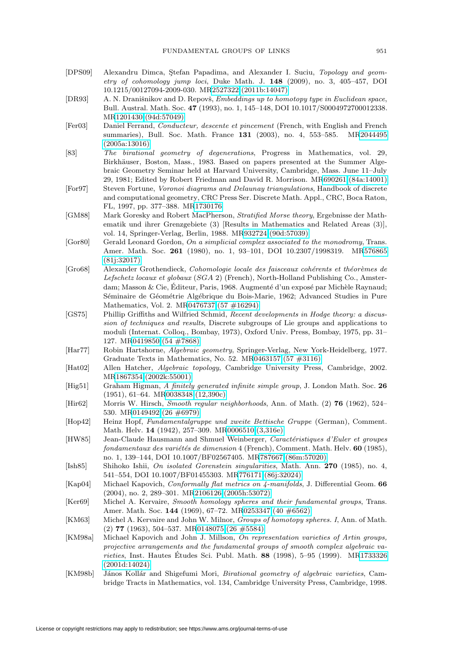- <span id="page-22-3"></span>[DPS09] Alexandru Dimca, Stefan Papadima, and Alexander I. Suciu, Topology and geometry of cohomology jump loci, Duke Math. J. **148** (2009), no. 3, 405–457, DOI 10.1215/00127094-2009-030. M[R2527322 \(2011b:14047\)](http://www.ams.org/mathscinet-getitem?mr=2527322)
- <span id="page-22-8"></span>[DR93] A. N. Dranišnikov and D. Repovš, *Embeddings up to homotopy type in Euclidean space*, Bull. Austral. Math. Soc. **47** (1993), no. 1, 145–148, DOI 10.1017/S0004972700012338. M[R1201430 \(94d:57049\)](http://www.ams.org/mathscinet-getitem?mr=1201430)
- <span id="page-22-9"></span>[Fer03] Daniel Ferrand, Conducteur, descente et pincement (French, with English and French summaries), Bull. Soc. Math. France **131** (2003), no. 4, 553–585. M[R2044495](http://www.ams.org/mathscinet-getitem?mr=2044495) [\(2005a:13016\)](http://www.ams.org/mathscinet-getitem?mr=2044495)
- <span id="page-22-13"></span>[83] The birational geometry of degenerations, Progress in Mathematics, vol. 29, Birkhäuser, Boston, Mass., 1983. Based on papers presented at the Summer Algebraic Geometry Seminar held at Harvard University, Cambridge, Mass. June 11–July 29, 1981; Edited by Robert Friedman and David R. Morrison. M[R690261 \(84a:14001\)](http://www.ams.org/mathscinet-getitem?mr=690261)
- <span id="page-22-5"></span>[For97] Steven Fortune, Voronoi diagrams and Delaunay triangulations, Handbook of discrete and computational geometry, CRC Press Ser. Discrete Math. Appl., CRC, Boca Raton, FL, 1997, pp. 377–388. M[R1730176](http://www.ams.org/mathscinet-getitem?mr=1730176)
- <span id="page-22-1"></span>[GM88] Mark Goresky and Robert MacPherson, Stratified Morse theory, Ergebnisse der Mathematik und ihrer Grenzgebiete (3) [Results in Mathematics and Related Areas (3)], vol. 14, Springer-Verlag, Berlin, 1988. M[R932724 \(90d:57039\)](http://www.ams.org/mathscinet-getitem?mr=932724)
- <span id="page-22-12"></span>[Gor80] Gerald Leonard Gordon, On a simplicial complex associated to the monodromy, Trans. Amer. Math. Soc. **261** (1980), no. 1, 93–101, DOI 10.2307/1998319. M[R576865](http://www.ams.org/mathscinet-getitem?mr=576865) [\(81j:32017\)](http://www.ams.org/mathscinet-getitem?mr=576865)
- <span id="page-22-0"></span>[Gro68] Alexander Grothendieck, Cohomologie locale des faisceaux cohérents et théorèmes de Lefschetz locaux et globaux (SGA 2) (French), North-Holland Publishing Co., Amsterdam; Masson & Cie, Éditeur, Paris, 1968. Augmenté d'un exposé par Michèle Raynaud; Séminaire de Géométrie Algébrique du Bois-Marie, 1962; Advanced Studies in Pure Mathematics, Vol. 2. M[R0476737 \(57 #16294\)](http://www.ams.org/mathscinet-getitem?mr=0476737)
- <span id="page-22-14"></span>[GS75] Phillip Griffiths and Wilfried Schmid, Recent developments in Hodge theory: a discussion of techniques and results, Discrete subgroups of Lie groups and applications to moduli (Internat. Colloq., Bombay, 1973), Oxford Univ. Press, Bombay, 1975, pp. 31– 127. M[R0419850 \(54 #7868\)](http://www.ams.org/mathscinet-getitem?mr=0419850)
- <span id="page-22-10"></span>[Har77] Robin Hartshorne, Algebraic geometry, Springer-Verlag, New York-Heidelberg, 1977. Graduate Texts in Mathematics, No. 52. M[R0463157 \(57 #3116\)](http://www.ams.org/mathscinet-getitem?mr=0463157)
- <span id="page-22-4"></span>[Hat02] Allen Hatcher, Algebraic topology, Cambridge University Press, Cambridge, 2002. M[R1867354 \(2002k:55001\)](http://www.ams.org/mathscinet-getitem?mr=1867354)
- <span id="page-22-17"></span>[Hig51] Graham Higman, A finitely generated infinite simple group, J. London Math. Soc. **26** (1951), 61–64. M[R0038348 \(12,390c\)](http://www.ams.org/mathscinet-getitem?mr=0038348)
- <span id="page-22-6"></span>[Hir62] Morris W. Hirsch, Smooth regular neighborhoods, Ann. of Math. (2) **76** (1962), 524– 530. M[R0149492 \(26 #6979\)](http://www.ams.org/mathscinet-getitem?mr=0149492)
- <span id="page-22-16"></span>[Hop42] Heinz Hopf, Fundamentalgruppe und zweite Bettische Gruppe (German), Comment. Math. Helv. **14** (1942), 257–309. M[R0006510 \(3,316e\)](http://www.ams.org/mathscinet-getitem?mr=0006510)
- <span id="page-22-19"></span>[HW85] Jean-Claude Hausmann and Shmuel Weinberger, Caractéristiques d'Euler et groupes fondamentaux des variétés de dimension 4 (French), Comment. Math. Helv. 60 (1985), no. 1, 139–144, DOI 10.1007/BF02567405. M[R787667 \(86m:57020\)](http://www.ams.org/mathscinet-getitem?mr=787667)
- <span id="page-22-15"></span>[Ish85] Shihoko Ishii, On isolated Gorenstein singularities, Math. Ann. **270** (1985), no. 4, 541–554, DOI 10.1007/BF01455303. M[R776171 \(86j:32024\)](http://www.ams.org/mathscinet-getitem?mr=776171)
- <span id="page-22-20"></span>[Kap04] Michael Kapovich, Conformally flat metrics on 4-manifolds, J. Differential Geom. **66** (2004), no. 2, 289–301. M[R2106126 \(2005h:53072\)](http://www.ams.org/mathscinet-getitem?mr=2106126)
- <span id="page-22-18"></span>[Ker69] Michel A. Kervaire, Smooth homology spheres and their fundamental groups, Trans. Amer. Math. Soc. **144** (1969), 67–72. M[R0253347 \(40 #6562\)](http://www.ams.org/mathscinet-getitem?mr=0253347)
- <span id="page-22-7"></span>[KM63] Michel A. Kervaire and John W. Milnor, Groups of homotopy spheres. I, Ann. of Math. (2) **77** (1963), 504–537. M[R0148075 \(26 #5584\)](http://www.ams.org/mathscinet-getitem?mr=0148075)
- <span id="page-22-2"></span>[KM98a] Michael Kapovich and John J. Millson, On representation varieties of Artin groups, projective arrangements and the fundamental groups of smooth complex algebraic varieties, Inst. Hautes Etudes Sci. Publ. Math. ´ **88** (1998), 5–95 (1999). M[R1733326](http://www.ams.org/mathscinet-getitem?mr=1733326) [\(2001d:14024\)](http://www.ams.org/mathscinet-getitem?mr=1733326)
- <span id="page-22-11"></span>[KM98b] János Kollár and Shigefumi Mori, Birational geometry of algebraic varieties, Cambridge Tracts in Mathematics, vol. 134, Cambridge University Press, Cambridge, 1998.